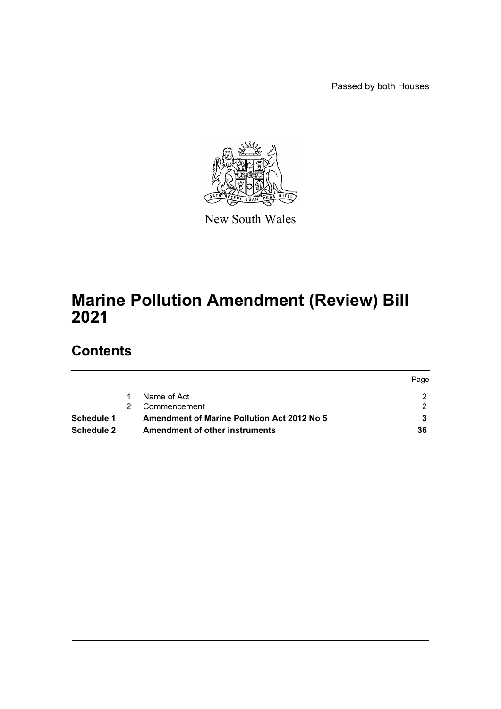Passed by both Houses



New South Wales

# **Marine Pollution Amendment (Review) Bill 2021**

# **Contents**

|            |                                                    | Page |
|------------|----------------------------------------------------|------|
|            | Name of Act                                        |      |
|            | Commencement                                       |      |
| Schedule 1 | <b>Amendment of Marine Pollution Act 2012 No 5</b> |      |
| Schedule 2 | Amendment of other instruments                     | 36   |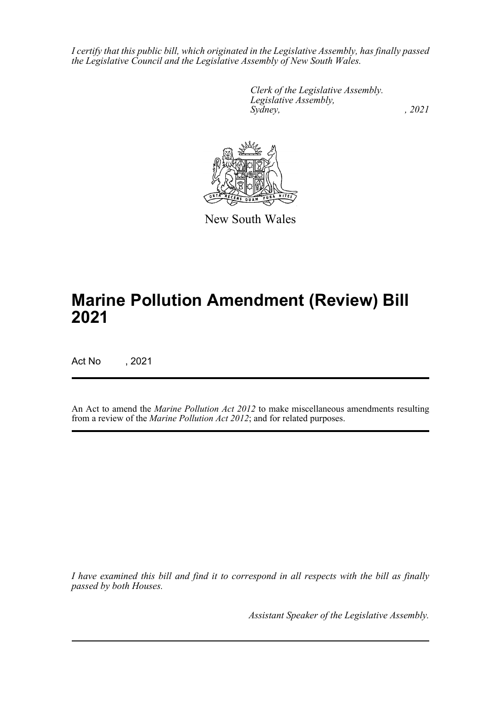*I certify that this public bill, which originated in the Legislative Assembly, has finally passed the Legislative Council and the Legislative Assembly of New South Wales.*

> *Clerk of the Legislative Assembly. Legislative Assembly, Sydney, , 2021*



New South Wales

# **Marine Pollution Amendment (Review) Bill 2021**

Act No , 2021

An Act to amend the *Marine Pollution Act 2012* to make miscellaneous amendments resulting from a review of the *Marine Pollution Act 2012*; and for related purposes.

*I have examined this bill and find it to correspond in all respects with the bill as finally passed by both Houses.*

*Assistant Speaker of the Legislative Assembly.*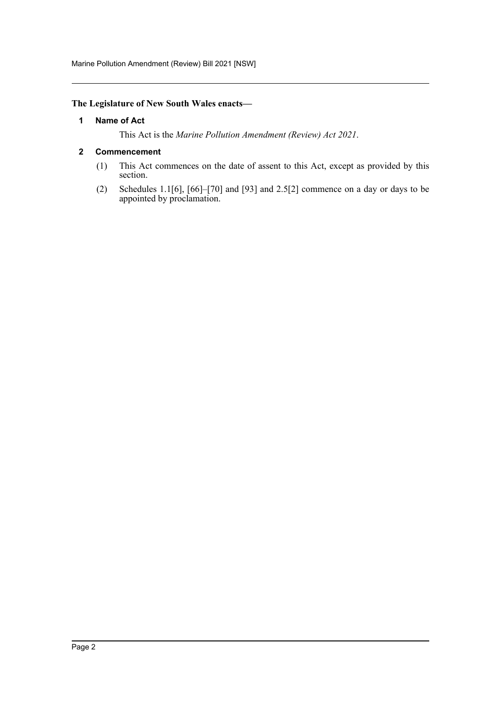Marine Pollution Amendment (Review) Bill 2021 [NSW]

# <span id="page-2-0"></span>**The Legislature of New South Wales enacts—**

### **1 Name of Act**

This Act is the *Marine Pollution Amendment (Review) Act 2021*.

### <span id="page-2-1"></span>**2 Commencement**

- (1) This Act commences on the date of assent to this Act, except as provided by this section.
- (2) Schedules 1.1[6], [66]–[70] and [93] and 2.5[2] commence on a day or days to be appointed by proclamation.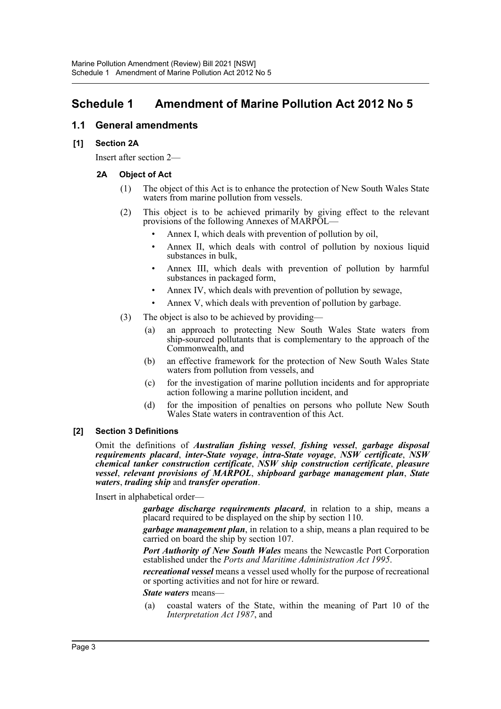# <span id="page-3-0"></span>**Schedule 1 Amendment of Marine Pollution Act 2012 No 5**

# **1.1 General amendments**

### **[1] Section 2A**

Insert after section 2—

### **2A Object of Act**

- (1) The object of this Act is to enhance the protection of New South Wales State waters from marine pollution from vessels.
- (2) This object is to be achieved primarily by giving effect to the relevant provisions of the following Annexes of MARPOL—
	- Annex I, which deals with prevention of pollution by oil,
	- Annex II, which deals with control of pollution by noxious liquid substances in bulk,
	- Annex III, which deals with prevention of pollution by harmful substances in packaged form,
	- Annex IV, which deals with prevention of pollution by sewage,
	- Annex V, which deals with prevention of pollution by garbage.
- (3) The object is also to be achieved by providing—
	- (a) an approach to protecting New South Wales State waters from ship-sourced pollutants that is complementary to the approach of the Commonwealth, and
	- (b) an effective framework for the protection of New South Wales State waters from pollution from vessels, and
	- (c) for the investigation of marine pollution incidents and for appropriate action following a marine pollution incident, and
	- (d) for the imposition of penalties on persons who pollute New South Wales State waters in contravention of this Act.

### **[2] Section 3 Definitions**

Omit the definitions of *Australian fishing vessel*, *fishing vessel*, *garbage disposal requirements placard*, *inter-State voyage*, *intra-State voyage*, *NSW certificate*, *NSW chemical tanker construction certificate*, *NSW ship construction certificate*, *pleasure vessel*, *relevant provisions of MARPOL*, *shipboard garbage management plan*, *State waters*, *trading ship* and *transfer operation*.

Insert in alphabetical order—

*garbage discharge requirements placard*, in relation to a ship, means a placard required to be displayed on the ship by section 110.

*garbage management plan*, in relation to a ship, means a plan required to be carried on board the ship by section 107.

*Port Authority of New South Wales* means the Newcastle Port Corporation established under the *Ports and Maritime Administration Act 1995*.

*recreational vessel* means a vessel used wholly for the purpose of recreational or sporting activities and not for hire or reward.

*State waters* means—

(a) coastal waters of the State, within the meaning of Part 10 of the *Interpretation Act 1987*, and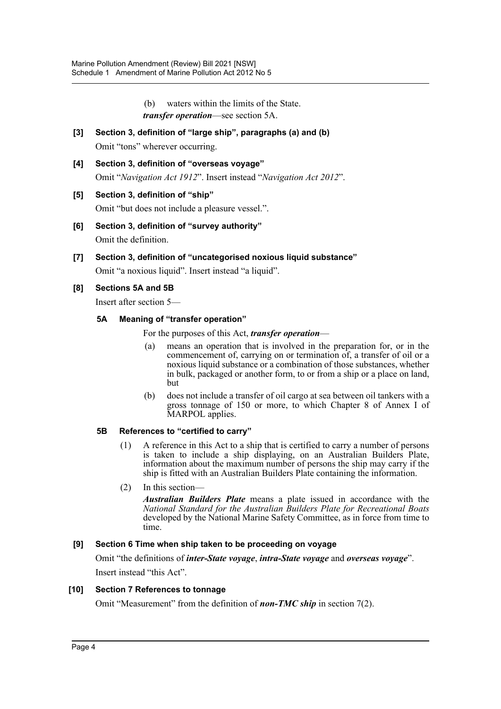- (b) waters within the limits of the State.
- *transfer operation*—see section 5A.
- **[3] Section 3, definition of "large ship", paragraphs (a) and (b)** Omit "tons" wherever occurring.
- **[4] Section 3, definition of "overseas voyage"** Omit "*Navigation Act 1912*". Insert instead "*Navigation Act 2012*".

# **[5] Section 3, definition of "ship"**

Omit "but does not include a pleasure vessel.".

- **[6] Section 3, definition of "survey authority"** Omit the definition.
- **[7] Section 3, definition of "uncategorised noxious liquid substance"**

Omit "a noxious liquid". Insert instead "a liquid".

### **[8] Sections 5A and 5B**

Insert after section 5—

### **5A Meaning of "transfer operation"**

For the purposes of this Act, *transfer operation*—

- (a) means an operation that is involved in the preparation for, or in the commencement of, carrying on or termination of, a transfer of oil or a noxious liquid substance or a combination of those substances, whether in bulk, packaged or another form, to or from a ship or a place on land, but
- (b) does not include a transfer of oil cargo at sea between oil tankers with a gross tonnage of 150 or more, to which Chapter 8 of Annex I of MARPOL applies.

### **5B References to "certified to carry"**

- (1) A reference in this Act to a ship that is certified to carry a number of persons is taken to include a ship displaying, on an Australian Builders Plate, information about the maximum number of persons the ship may carry if the ship is fitted with an Australian Builders Plate containing the information.
- (2) In this section—

*Australian Builders Plate* means a plate issued in accordance with the *National Standard for the Australian Builders Plate for Recreational Boats* developed by the National Marine Safety Committee, as in force from time to time.

# **[9] Section 6 Time when ship taken to be proceeding on voyage**

Omit "the definitions of *inter-State voyage*, *intra-State voyage* and *overseas voyage*". Insert instead "this Act".

### **[10] Section 7 References to tonnage**

Omit "Measurement" from the definition of *non-TMC ship* in section 7(2).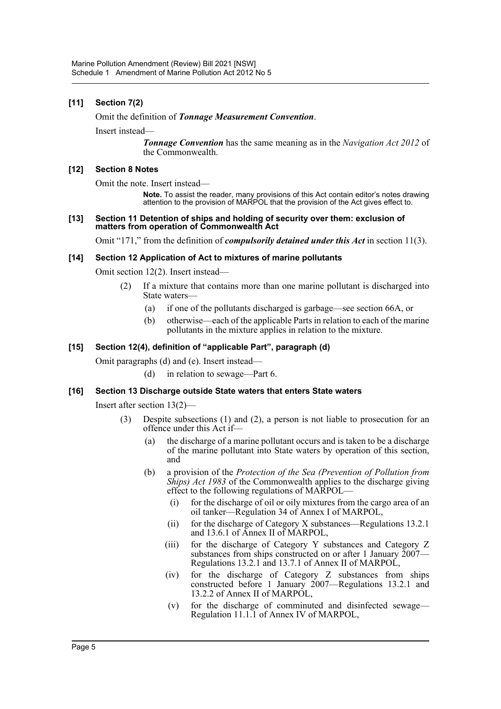### **[11] Section 7(2)**

#### Omit the definition of *Tonnage Measurement Convention*.

Insert instead—

*Tonnage Convention* has the same meaning as in the *Navigation Act 2012* of the Commonwealth.

#### **[12] Section 8 Notes**

Omit the note. Insert instead—

**Note.** To assist the reader, many provisions of this Act contain editor's notes drawing attention to the provision of MARPOL that the provision of the Act gives effect to.

#### **[13] Section 11 Detention of ships and holding of security over them: exclusion of matters from operation of Commonwealth Act**

Omit "171," from the definition of *compulsorily detained under this Act* in section 11(3).

#### **[14] Section 12 Application of Act to mixtures of marine pollutants**

Omit section 12(2). Insert instead—

- (2) If a mixture that contains more than one marine pollutant is discharged into State waters—
	- (a) if one of the pollutants discharged is garbage—see section 66A, or
	- (b) otherwise—each of the applicable Parts in relation to each of the marine pollutants in the mixture applies in relation to the mixture.

### **[15] Section 12(4), definition of "applicable Part", paragraph (d)**

Omit paragraphs (d) and (e). Insert instead—

(d) in relation to sewage—Part 6.

### **[16] Section 13 Discharge outside State waters that enters State waters**

Insert after section 13(2)—

- (3) Despite subsections (1) and (2), a person is not liable to prosecution for an offence under this Act if—
	- (a) the discharge of a marine pollutant occurs and is taken to be a discharge of the marine pollutant into State waters by operation of this section, and
	- (b) a provision of the *Protection of the Sea (Prevention of Pollution from Ships) Act 1983* of the Commonwealth applies to the discharge giving effect to the following regulations of MARPOL—
		- (i) for the discharge of oil or oily mixtures from the cargo area of an oil tanker—Regulation 34 of Annex I of MARPOL,
		- (ii) for the discharge of Category X substances—Regulations 13.2.1 and 13.6.1 of Annex II of MARPOL,
		- (iii) for the discharge of Category Y substances and Category Z substances from ships constructed on or after 1 January  $2007-$ Regulations 13.2.1 and 13.7.1 of Annex II of MARPOL,
		- (iv) for the discharge of Category Z substances from ships constructed before 1 January 2007—Regulations 13.2.1 and 13.2.2 of Annex II of MARPOL,
		- (v) for the discharge of comminuted and disinfected sewage— Regulation 11.1.1 of Annex IV of MARPOL,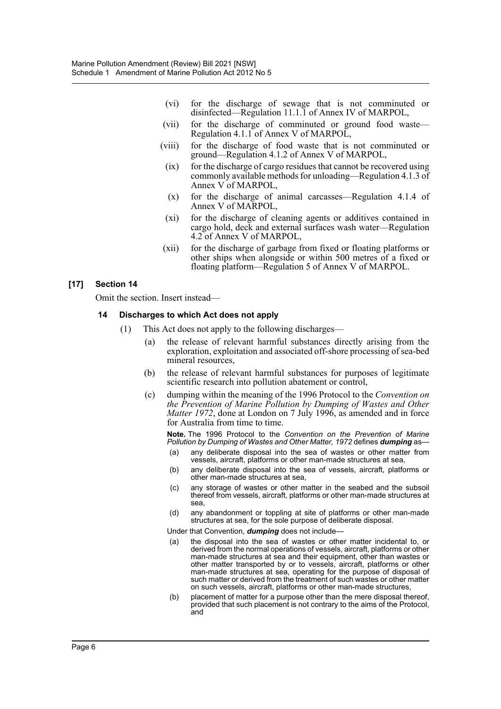- (vi) for the discharge of sewage that is not comminuted or disinfected—Regulation 11.1.1 of Annex IV of MARPOL,
- (vii) for the discharge of comminuted or ground food waste— Regulation 4.1.1 of Annex V of MARPOL,
- (viii) for the discharge of food waste that is not comminuted or ground—Regulation 4.1.2 of Annex V of MARPOL,
- (ix) for the discharge of cargo residues that cannot be recovered using commonly available methods for unloading—Regulation 4.1.3 of Annex V of MARPOL,
- (x) for the discharge of animal carcasses—Regulation 4.1.4 of Annex V of MARPOL,
- (xi) for the discharge of cleaning agents or additives contained in cargo hold, deck and external surfaces wash water—Regulation 4.2 of Annex V of MARPOL,
- (xii) for the discharge of garbage from fixed or floating platforms or other ships when alongside or within 500 metres of a fixed or floating platform—Regulation 5 of Annex V of MARPOL.

### **[17] Section 14**

Omit the section. Insert instead—

#### **14 Discharges to which Act does not apply**

- (1) This Act does not apply to the following discharges—
	- (a) the release of relevant harmful substances directly arising from the exploration, exploitation and associated off-shore processing of sea-bed mineral resources,
	- (b) the release of relevant harmful substances for purposes of legitimate scientific research into pollution abatement or control,
	- (c) dumping within the meaning of the 1996 Protocol to the *Convention on the Prevention of Marine Pollution by Dumping of Wastes and Other Matter 1972*, done at London on 7 July 1996, as amended and in force for Australia from time to time.

**Note.** The 1996 Protocol to the *Convention on the Prevention of Marine Pollution by Dumping of Wastes and Other Matter, 1972* defines *dumping* as—

- (a) any deliberate disposal into the sea of wastes or other matter from vessels, aircraft, platforms or other man-made structures at sea,
- (b) any deliberate disposal into the sea of vessels, aircraft, platforms or other man-made structures at sea,
- (c) any storage of wastes or other matter in the seabed and the subsoil thereof from vessels, aircraft, platforms or other man-made structures at sea,
- (d) any abandonment or toppling at site of platforms or other man-made structures at sea, for the sole purpose of deliberate disposal.

Under that Convention, *dumping* does not include—

- (a) the disposal into the sea of wastes or other matter incidental to, or derived from the normal operations of vessels, aircraft, platforms or other man-made structures at sea and their equipment, other than wastes or other matter transported by or to vessels, aircraft, platforms or other man-made structures at sea, operating for the purpose of disposal of such matter or derived from the treatment of such wastes or other matter on such vessels, aircraft, platforms or other man-made structures,
- (b) placement of matter for a purpose other than the mere disposal thereof, provided that such placement is not contrary to the aims of the Protocol, and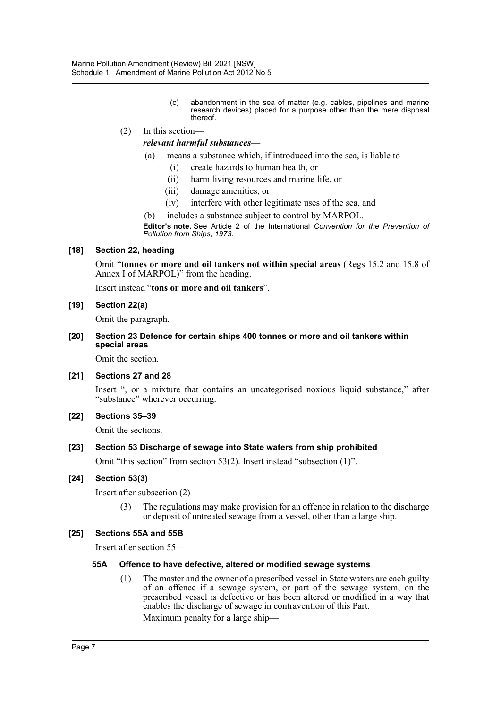(c) abandonment in the sea of matter (e.g. cables, pipelines and marine research devices) placed for a purpose other than the mere disposal thereof.

### (2) In this section *relevant harmful substances*—

- (a) means a substance which, if introduced into the sea, is liable to—
	- (i) create hazards to human health, or
	- (ii) harm living resources and marine life, or
	- (iii) damage amenities, or
	- (iv) interfere with other legitimate uses of the sea, and
- (b) includes a substance subject to control by MARPOL.

**Editor's note.** See Article 2 of the International *Convention for the Prevention of Pollution from Ships, 1973*.

### **[18] Section 22, heading**

Omit "**tonnes or more and oil tankers not within special areas** (Regs 15.2 and 15.8 of Annex I of MARPOL)" from the heading.

Insert instead "**tons or more and oil tankers**".

#### **[19] Section 22(a)**

Omit the paragraph.

#### **[20] Section 23 Defence for certain ships 400 tonnes or more and oil tankers within special areas**

Omit the section.

### **[21] Sections 27 and 28**

Insert ", or a mixture that contains an uncategorised noxious liquid substance," after "substance" wherever occurring.

#### **[22] Sections 35–39**

Omit the sections.

### **[23] Section 53 Discharge of sewage into State waters from ship prohibited**

Omit "this section" from section 53(2). Insert instead "subsection (1)".

#### **[24] Section 53(3)**

Insert after subsection (2)—

(3) The regulations may make provision for an offence in relation to the discharge or deposit of untreated sewage from a vessel, other than a large ship.

#### **[25] Sections 55A and 55B**

Insert after section 55—

#### **55A Offence to have defective, altered or modified sewage systems**

(1) The master and the owner of a prescribed vessel in State waters are each guilty of an offence if a sewage system, or part of the sewage system, on the prescribed vessel is defective or has been altered or modified in a way that enables the discharge of sewage in contravention of this Part.

Maximum penalty for a large ship—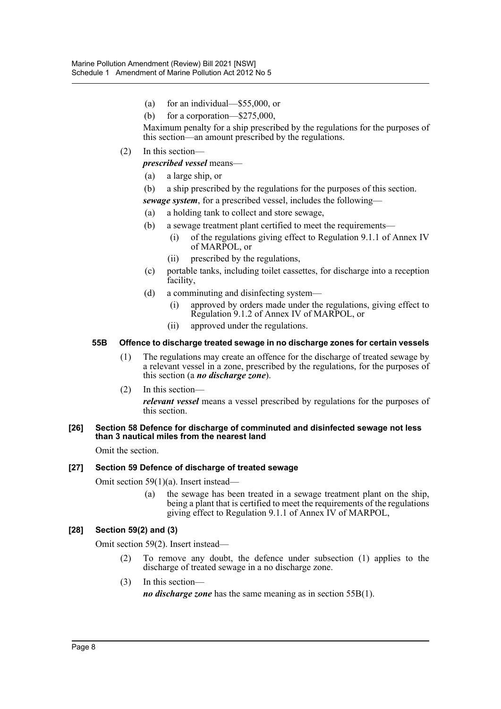- (a) for an individual—\$55,000, or
- (b) for a corporation—\$275,000,

Maximum penalty for a ship prescribed by the regulations for the purposes of this section—an amount prescribed by the regulations.

(2) In this section—

*prescribed vessel* means—

- (a) a large ship, or
- (b) a ship prescribed by the regulations for the purposes of this section.

*sewage system*, for a prescribed vessel, includes the following—

- (a) a holding tank to collect and store sewage,
- (b) a sewage treatment plant certified to meet the requirements—
	- (i) of the regulations giving effect to Regulation 9.1.1 of Annex IV of MARPOL, or
	- (ii) prescribed by the regulations,
- (c) portable tanks, including toilet cassettes, for discharge into a reception facility,
- (d) a comminuting and disinfecting system—
	- (i) approved by orders made under the regulations, giving effect to Regulation 9.1.2 of Annex IV of MARPOL, or
	- (ii) approved under the regulations.

### **55B Offence to discharge treated sewage in no discharge zones for certain vessels**

- (1) The regulations may create an offence for the discharge of treated sewage by a relevant vessel in a zone, prescribed by the regulations, for the purposes of this section (a *no discharge zone*).
- (2) In this section—

*relevant vessel* means a vessel prescribed by regulations for the purposes of this section.

#### **[26] Section 58 Defence for discharge of comminuted and disinfected sewage not less than 3 nautical miles from the nearest land**

Omit the section.

### **[27] Section 59 Defence of discharge of treated sewage**

Omit section 59(1)(a). Insert instead—

(a) the sewage has been treated in a sewage treatment plant on the ship, being a plant that is certified to meet the requirements of the regulations giving effect to Regulation 9.1.1 of Annex IV of MARPOL,

### **[28] Section 59(2) and (3)**

Omit section 59(2). Insert instead—

- (2) To remove any doubt, the defence under subsection (1) applies to the discharge of treated sewage in a no discharge zone.
- (3) In this section—

*no discharge zone* has the same meaning as in section 55B(1).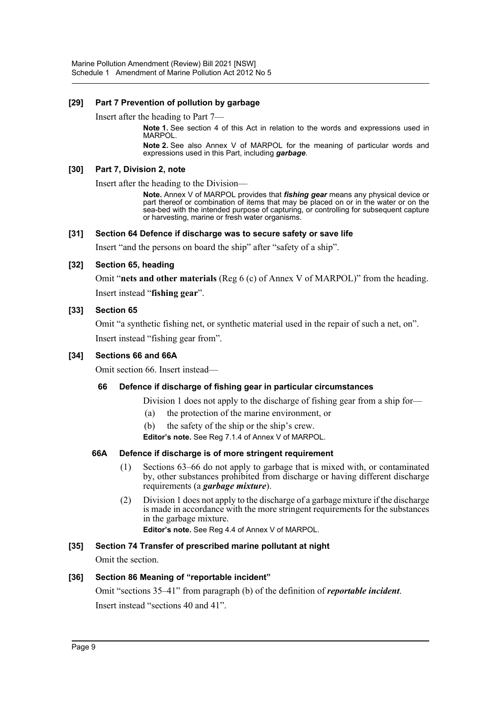### **[29] Part 7 Prevention of pollution by garbage**

Insert after the heading to Part 7—

**Note 1.** See section 4 of this Act in relation to the words and expressions used in MARPOL.

**Note 2.** See also Annex V of MARPOL for the meaning of particular words and expressions used in this Part, including *garbage*.

#### **[30] Part 7, Division 2, note**

Insert after the heading to the Division—

**Note.** Annex V of MARPOL provides that *fishing gear* means any physical device or part thereof or combination of items that may be placed on or in the water or on the sea-bed with the intended purpose of capturing, or controlling for subsequent capture or harvesting, marine or fresh water organisms.

### **[31] Section 64 Defence if discharge was to secure safety or save life**

Insert "and the persons on board the ship" after "safety of a ship".

### **[32] Section 65, heading**

Omit "**nets and other materials** (Reg 6 (c) of Annex V of MARPOL)" from the heading. Insert instead "**fishing gear**".

### **[33] Section 65**

Omit "a synthetic fishing net, or synthetic material used in the repair of such a net, on". Insert instead "fishing gear from".

### **[34] Sections 66 and 66A**

Omit section 66. Insert instead—

### **66 Defence if discharge of fishing gear in particular circumstances**

Division 1 does not apply to the discharge of fishing gear from a ship for—

- (a) the protection of the marine environment, or
- (b) the safety of the ship or the ship's crew.

**Editor's note.** See Reg 7.1.4 of Annex V of MARPOL.

### **66A Defence if discharge is of more stringent requirement**

- (1) Sections 63–66 do not apply to garbage that is mixed with, or contaminated by, other substances prohibited from discharge or having different discharge requirements (a *garbage mixture*).
- (2) Division 1 does not apply to the discharge of a garbage mixture if the discharge is made in accordance with the more stringent requirements for the substances in the garbage mixture.

**Editor's note.** See Reg 4.4 of Annex V of MARPOL.

### **[35] Section 74 Transfer of prescribed marine pollutant at night**

Omit the section.

### **[36] Section 86 Meaning of "reportable incident"**

Omit "sections 35–41" from paragraph (b) of the definition of *reportable incident*. Insert instead "sections 40 and 41".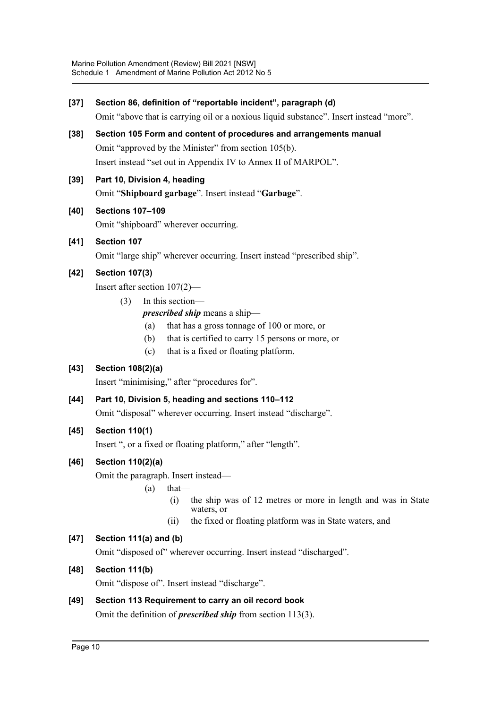| $[37]$ | Section 86, definition of "reportable incident", paragraph (d)                                                                                                                                                                                                                                |
|--------|-----------------------------------------------------------------------------------------------------------------------------------------------------------------------------------------------------------------------------------------------------------------------------------------------|
|        | Omit "above that is carrying oil or a noxious liquid substance". Insert instead "more".                                                                                                                                                                                                       |
| $[38]$ | Section 105 Form and content of procedures and arrangements manual<br>Omit "approved by the Minister" from section 105(b).<br>Insert instead "set out in Appendix IV to Annex II of MARPOL".                                                                                                  |
| $[39]$ | Part 10, Division 4, heading<br>Omit "Shipboard garbage". Insert instead "Garbage".                                                                                                                                                                                                           |
| [40]   | <b>Sections 107-109</b><br>Omit "shipboard" wherever occurring.                                                                                                                                                                                                                               |
| [41]   | Section 107<br>Omit "large ship" wherever occurring. Insert instead "prescribed ship".                                                                                                                                                                                                        |
| $[42]$ | <b>Section 107(3)</b><br>Insert after section $107(2)$ —<br>In this section-<br>(3)<br><i>prescribed ship</i> means a ship-<br>that has a gross tonnage of 100 or more, or<br>(a)<br>that is certified to carry 15 persons or more, or<br>(b)<br>that is a fixed or floating platform.<br>(c) |
| $[43]$ | <b>Section 108(2)(a)</b><br>Insert "minimising," after "procedures for".                                                                                                                                                                                                                      |
| $[44]$ | Part 10, Division 5, heading and sections 110-112<br>Omit "disposal" wherever occurring. Insert instead "discharge".                                                                                                                                                                          |
| [45]   | <b>Section 110(1)</b><br>Insert ", or a fixed or floating platform," after "length".                                                                                                                                                                                                          |
| [46]   | Section 110(2)(a)<br>Omit the paragraph. Insert instead—<br>$that-$<br>(a)<br>the ship was of 12 metres or more in length and was in State<br>(i)<br>waters, or<br>the fixed or floating platform was in State waters, and<br>(i)                                                             |
| $[47]$ | Section 111(a) and (b)<br>Omit "disposed of" wherever occurring. Insert instead "discharged".                                                                                                                                                                                                 |
| [48]   | Section 111(b)<br>Omit "dispose of". Insert instead "discharge".                                                                                                                                                                                                                              |
| [49]   | Section 113 Requirement to carry an oil record book<br>Omit the definition of <i>prescribed ship</i> from section $113(3)$ .                                                                                                                                                                  |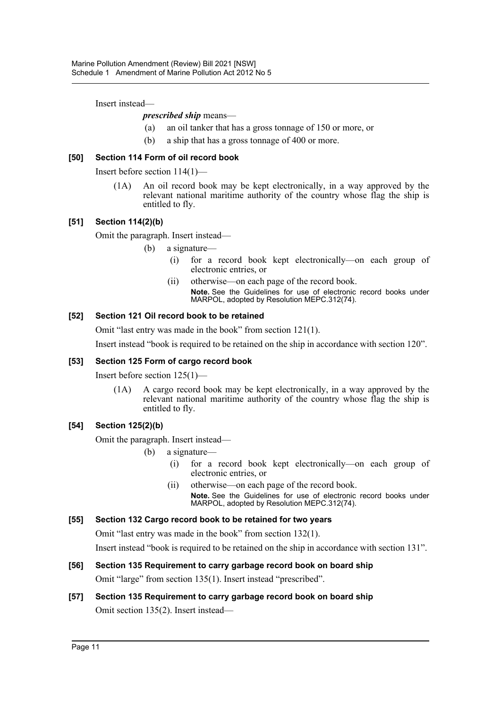Insert instead—

### *prescribed ship* means—

- (a) an oil tanker that has a gross tonnage of 150 or more, or
- (b) a ship that has a gross tonnage of 400 or more.

### **[50] Section 114 Form of oil record book**

Insert before section 114(1)—

(1A) An oil record book may be kept electronically, in a way approved by the relevant national maritime authority of the country whose flag the ship is entitled to fly.

### **[51] Section 114(2)(b)**

Omit the paragraph. Insert instead—

- (b) a signature—
	- (i) for a record book kept electronically—on each group of electronic entries, or
	- (ii) otherwise—on each page of the record book. **Note.** See the Guidelines for use of electronic record books under MARPOL, adopted by Resolution MEPC.312(74).

### **[52] Section 121 Oil record book to be retained**

Omit "last entry was made in the book" from section 121(1).

Insert instead "book is required to be retained on the ship in accordance with section 120".

### **[53] Section 125 Form of cargo record book**

Insert before section 125(1)—

(1A) A cargo record book may be kept electronically, in a way approved by the relevant national maritime authority of the country whose flag the ship is entitled to fly.

### **[54] Section 125(2)(b)**

Omit the paragraph. Insert instead—

- (b) a signature—
	- (i) for a record book kept electronically—on each group of electronic entries, or
	- (ii) otherwise—on each page of the record book. **Note.** See the Guidelines for use of electronic record books under MARPOL, adopted by Resolution MEPC.312(74).

### **[55] Section 132 Cargo record book to be retained for two years**

Omit "last entry was made in the book" from section 132(1).

Insert instead "book is required to be retained on the ship in accordance with section 131".

### **[56] Section 135 Requirement to carry garbage record book on board ship** Omit "large" from section 135(1). Insert instead "prescribed".

# **[57] Section 135 Requirement to carry garbage record book on board ship** Omit section 135(2). Insert instead—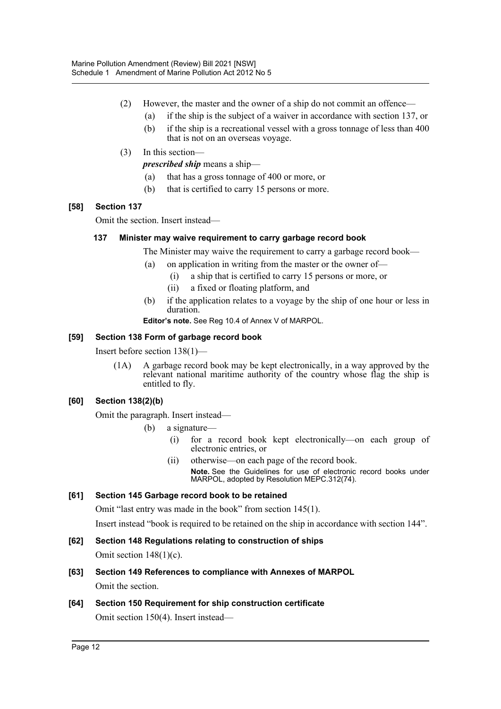- (2) However, the master and the owner of a ship do not commit an offence—
	- (a) if the ship is the subject of a waiver in accordance with section 137, or
	- (b) if the ship is a recreational vessel with a gross tonnage of less than 400 that is not on an overseas voyage.
- (3) In this section—

*prescribed ship* means a ship—

- (a) that has a gross tonnage of 400 or more, or
- (b) that is certified to carry 15 persons or more.

### **[58] Section 137**

Omit the section. Insert instead—

### **137 Minister may waive requirement to carry garbage record book**

The Minister may waive the requirement to carry a garbage record book—

- (a) on application in writing from the master or the owner of—
	- (i) a ship that is certified to carry 15 persons or more, or
	- (ii) a fixed or floating platform, and
- (b) if the application relates to a voyage by the ship of one hour or less in duration.

**Editor's note.** See Reg 10.4 of Annex V of MARPOL.

### **[59] Section 138 Form of garbage record book**

Insert before section 138(1)—

(1A) A garbage record book may be kept electronically, in a way approved by the relevant national maritime authority of the country whose flag the ship is entitled to fly.

### **[60] Section 138(2)(b)**

Omit the paragraph. Insert instead—

- (b) a signature—
	- (i) for a record book kept electronically—on each group of electronic entries, or
	- (ii) otherwise—on each page of the record book. **Note.** See the Guidelines for use of electronic record books under MARPOL, adopted by Resolution MEPC.312(74).

### **[61] Section 145 Garbage record book to be retained**

Omit "last entry was made in the book" from section 145(1).

Insert instead "book is required to be retained on the ship in accordance with section 144".

- **[62] Section 148 Regulations relating to construction of ships** Omit section  $148(1)(c)$ .
- **[63] Section 149 References to compliance with Annexes of MARPOL** Omit the section.
- **[64] Section 150 Requirement for ship construction certificate**

Omit section 150(4). Insert instead—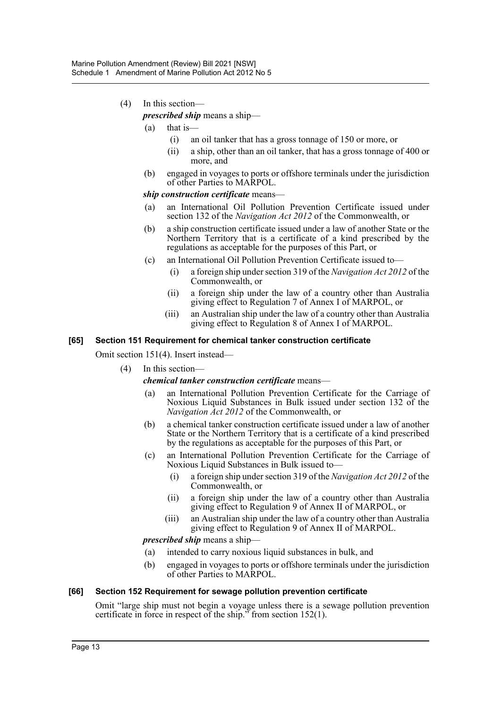### (4) In this section—

*prescribed ship* means a ship—

- (a) that is—
	- (i) an oil tanker that has a gross tonnage of 150 or more, or
	- (ii) a ship, other than an oil tanker, that has a gross tonnage of 400 or more, and
- (b) engaged in voyages to ports or offshore terminals under the jurisdiction of other Parties to MARPOL.

#### *ship construction certificate* means—

- (a) an International Oil Pollution Prevention Certificate issued under section 132 of the *Navigation Act 2012* of the Commonwealth, or
- (b) a ship construction certificate issued under a law of another State or the Northern Territory that is a certificate of a kind prescribed by the regulations as acceptable for the purposes of this Part, or
- (c) an International Oil Pollution Prevention Certificate issued to—
	- (i) a foreign ship under section 319 of the *Navigation Act 2012* of the Commonwealth, or
	- (ii) a foreign ship under the law of a country other than Australia giving effect to Regulation 7 of Annex I of MARPOL, or
	- (iii) an Australian ship under the law of a country other than Australia giving effect to Regulation 8 of Annex I of MARPOL.

#### **[65] Section 151 Requirement for chemical tanker construction certificate**

Omit section 151(4). Insert instead—

- (4) In this section
	- *chemical tanker construction certificate* means—
		- (a) an International Pollution Prevention Certificate for the Carriage of Noxious Liquid Substances in Bulk issued under section 132 of the *Navigation Act 2012* of the Commonwealth, or
		- (b) a chemical tanker construction certificate issued under a law of another State or the Northern Territory that is a certificate of a kind prescribed by the regulations as acceptable for the purposes of this Part, or
		- (c) an International Pollution Prevention Certificate for the Carriage of Noxious Liquid Substances in Bulk issued to—
			- (i) a foreign ship under section 319 of the *Navigation Act 2012* of the Commonwealth, or
			- (ii) a foreign ship under the law of a country other than Australia giving effect to Regulation 9 of Annex II of MARPOL, or
			- (iii) an Australian ship under the law of a country other than Australia giving effect to Regulation 9 of Annex II of MARPOL.

*prescribed ship* means a ship—

- (a) intended to carry noxious liquid substances in bulk, and
- (b) engaged in voyages to ports or offshore terminals under the jurisdiction of other Parties to MARPOL.

### **[66] Section 152 Requirement for sewage pollution prevention certificate**

Omit "large ship must not begin a voyage unless there is a sewage pollution prevention certificate in force in respect of the ship." from section 152(1).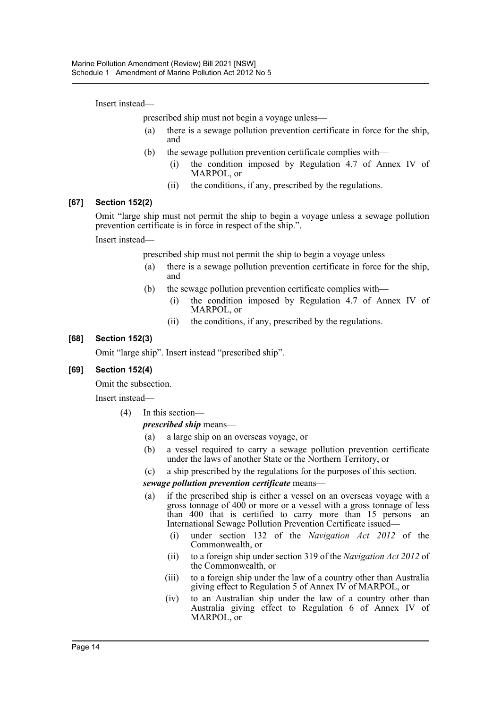Insert instead—

prescribed ship must not begin a voyage unless—

- (a) there is a sewage pollution prevention certificate in force for the ship, and
- (b) the sewage pollution prevention certificate complies with—
	- (i) the condition imposed by Regulation 4.7 of Annex IV of MARPOL, or
	- (ii) the conditions, if any, prescribed by the regulations.

#### **[67] Section 152(2)**

Omit "large ship must not permit the ship to begin a voyage unless a sewage pollution prevention certificate is in force in respect of the ship.".

Insert instead—

prescribed ship must not permit the ship to begin a voyage unless—

- (a) there is a sewage pollution prevention certificate in force for the ship, and
- (b) the sewage pollution prevention certificate complies with—
	- (i) the condition imposed by Regulation 4.7 of Annex IV of MARPOL, or
	- (ii) the conditions, if any, prescribed by the regulations.

#### **[68] Section 152(3)**

Omit "large ship". Insert instead "prescribed ship".

### **[69] Section 152(4)**

Omit the subsection.

Insert instead—

(4) In this section—

### *prescribed ship* means—

- (a) a large ship on an overseas voyage, or
- (b) a vessel required to carry a sewage pollution prevention certificate under the laws of another State or the Northern Territory, or
- (c) a ship prescribed by the regulations for the purposes of this section.

### *sewage pollution prevention certificate* means—

- (a) if the prescribed ship is either a vessel on an overseas voyage with a gross tonnage of  $400$  or more or a vessel with a gross tonnage of less than 400 that is certified to carry more than 15 persons—an International Sewage Pollution Prevention Certificate issued—
	- (i) under section 132 of the *Navigation Act 2012* of the Commonwealth, or
	- (ii) to a foreign ship under section 319 of the *Navigation Act 2012* of the Commonwealth, or
	- (iii) to a foreign ship under the law of a country other than Australia giving effect to Regulation 5 of Annex IV of MARPOL, or
	- (iv) to an Australian ship under the law of a country other than Australia giving effect to Regulation 6 of Annex IV of MARPOL, or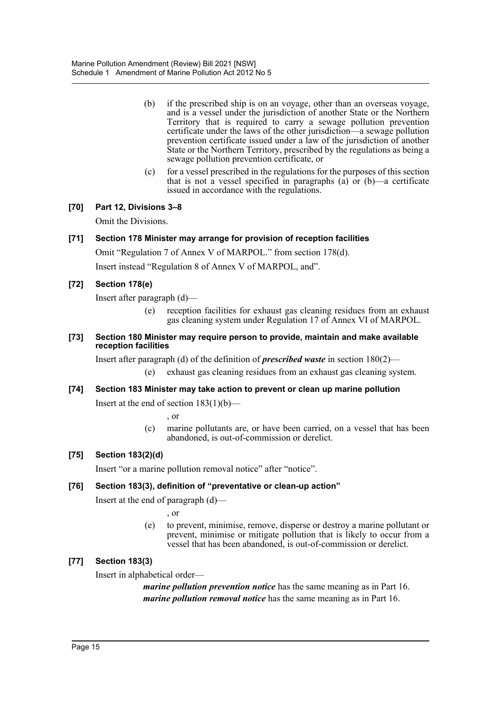- (b) if the prescribed ship is on an voyage, other than an overseas voyage, and is a vessel under the jurisdiction of another State or the Northern Territory that is required to carry a sewage pollution prevention certificate under the laws of the other jurisdiction—a sewage pollution prevention certificate issued under a law of the jurisdiction of another State or the Northern Territory, prescribed by the regulations as being a sewage pollution prevention certificate, or
- (c) for a vessel prescribed in the regulations for the purposes of this section that is not a vessel specified in paragraphs (a) or (b)—a certificate issued in accordance with the regulations.

### **[70] Part 12, Divisions 3–8**

Omit the Divisions.

### **[71] Section 178 Minister may arrange for provision of reception facilities**

Omit "Regulation 7 of Annex V of MARPOL." from section 178(d).

Insert instead "Regulation 8 of Annex V of MARPOL, and".

### **[72] Section 178(e)**

Insert after paragraph (d)—

- (e) reception facilities for exhaust gas cleaning residues from an exhaust gas cleaning system under Regulation 17 of Annex VI of MARPOL.
- **[73] Section 180 Minister may require person to provide, maintain and make available reception facilities**

Insert after paragraph (d) of the definition of *prescribed waste* in section 180(2)—

(e) exhaust gas cleaning residues from an exhaust gas cleaning system.

### **[74] Section 183 Minister may take action to prevent or clean up marine pollution**

Insert at the end of section 183(1)(b)—

, or

(c) marine pollutants are, or have been carried, on a vessel that has been abandoned, is out-of-commission or derelict.

### **[75] Section 183(2)(d)**

Insert "or a marine pollution removal notice" after "notice".

### **[76] Section 183(3), definition of "preventative or clean-up action"**

Insert at the end of paragraph (d)—

, or

(e) to prevent, minimise, remove, disperse or destroy a marine pollutant or prevent, minimise or mitigate pollution that is likely to occur from a vessel that has been abandoned, is out-of-commission or derelict.

### **[77] Section 183(3)**

Insert in alphabetical order—

*marine pollution prevention notice* has the same meaning as in Part 16. *marine pollution removal notice* has the same meaning as in Part 16.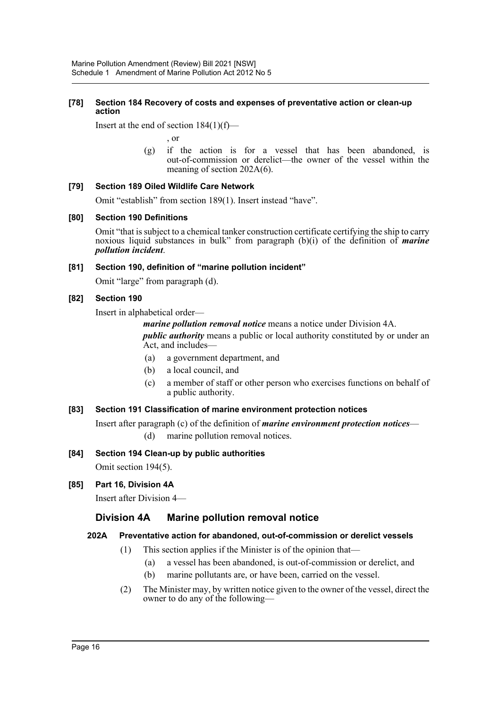### **[78] Section 184 Recovery of costs and expenses of preventative action or clean-up action**

Insert at the end of section 184(1)(f)—

, or

(g) if the action is for a vessel that has been abandoned, is out-of-commission or derelict—the owner of the vessel within the meaning of section 202A(6).

### **[79] Section 189 Oiled Wildlife Care Network**

Omit "establish" from section 189(1). Insert instead "have".

### **[80] Section 190 Definitions**

Omit "that is subject to a chemical tanker construction certificate certifying the ship to carry noxious liquid substances in bulk" from paragraph (b)(i) of the definition of *marine pollution incident*.

### **[81] Section 190, definition of "marine pollution incident"**

Omit "large" from paragraph (d).

### **[82] Section 190**

Insert in alphabetical order—

*marine pollution removal notice* means a notice under Division 4A.

*public authority* means a public or local authority constituted by or under an Act, and includes—

- (a) a government department, and
- (b) a local council, and
- (c) a member of staff or other person who exercises functions on behalf of a public authority.

### **[83] Section 191 Classification of marine environment protection notices**

Insert after paragraph (c) of the definition of *marine environment protection notices*—

- (d) marine pollution removal notices.
- **[84] Section 194 Clean-up by public authorities**

Omit section 194(5).

**[85] Part 16, Division 4A**

Insert after Division 4—

# **Division 4A Marine pollution removal notice**

### **202A Preventative action for abandoned, out-of-commission or derelict vessels**

- (1) This section applies if the Minister is of the opinion that—
	- (a) a vessel has been abandoned, is out-of-commission or derelict, and
	- (b) marine pollutants are, or have been, carried on the vessel.
- (2) The Minister may, by written notice given to the owner of the vessel, direct the owner to do any of the following—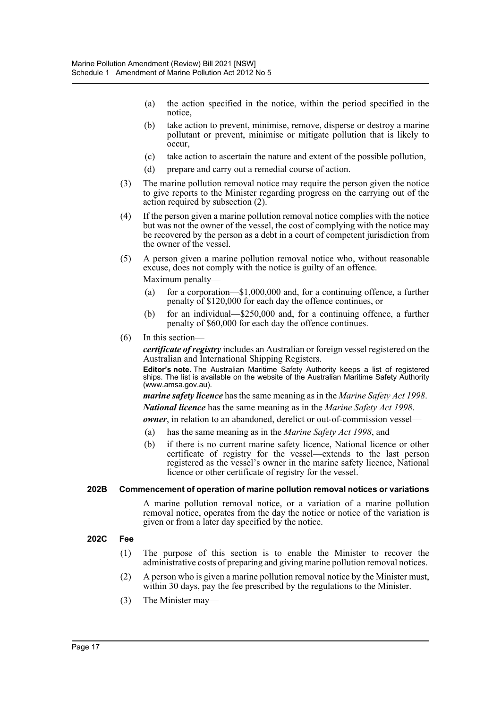- (a) the action specified in the notice, within the period specified in the notice,
- (b) take action to prevent, minimise, remove, disperse or destroy a marine pollutant or prevent, minimise or mitigate pollution that is likely to occur,
- (c) take action to ascertain the nature and extent of the possible pollution,
- (d) prepare and carry out a remedial course of action.
- (3) The marine pollution removal notice may require the person given the notice to give reports to the Minister regarding progress on the carrying out of the action required by subsection (2).
- (4) If the person given a marine pollution removal notice complies with the notice but was not the owner of the vessel, the cost of complying with the notice may be recovered by the person as a debt in a court of competent jurisdiction from the owner of the vessel.
- (5) A person given a marine pollution removal notice who, without reasonable excuse, does not comply with the notice is guilty of an offence. Maximum penalty—
	- (a) for a corporation—\$1,000,000 and, for a continuing offence, a further penalty of \$120,000 for each day the offence continues, or
	- (b) for an individual—\$250,000 and, for a continuing offence, a further penalty of \$60,000 for each day the offence continues.
- (6) In this section—

*certificate of registry* includes an Australian or foreign vessel registered on the Australian and International Shipping Registers.

**Editor's note.** The Australian Maritime Safety Authority keeps a list of registered ships. The list is available on the website of the Australian Maritime Safety Authority (www.amsa.gov.au).

*marine safety licence* has the same meaning as in the *Marine Safety Act 1998*.

*National licence* has the same meaning as in the *Marine Safety Act 1998*.

*owner*, in relation to an abandoned, derelict or out-of-commission vessel—

- (a) has the same meaning as in the *Marine Safety Act 1998*, and
- (b) if there is no current marine safety licence, National licence or other certificate of registry for the vessel—extends to the last person registered as the vessel's owner in the marine safety licence, National licence or other certificate of registry for the vessel.

### **202B Commencement of operation of marine pollution removal notices or variations**

A marine pollution removal notice, or a variation of a marine pollution removal notice, operates from the day the notice or notice of the variation is given or from a later day specified by the notice.

### **202C Fee**

- (1) The purpose of this section is to enable the Minister to recover the administrative costs of preparing and giving marine pollution removal notices.
- (2) A person who is given a marine pollution removal notice by the Minister must, within 30 days, pay the fee prescribed by the regulations to the Minister.
- (3) The Minister may—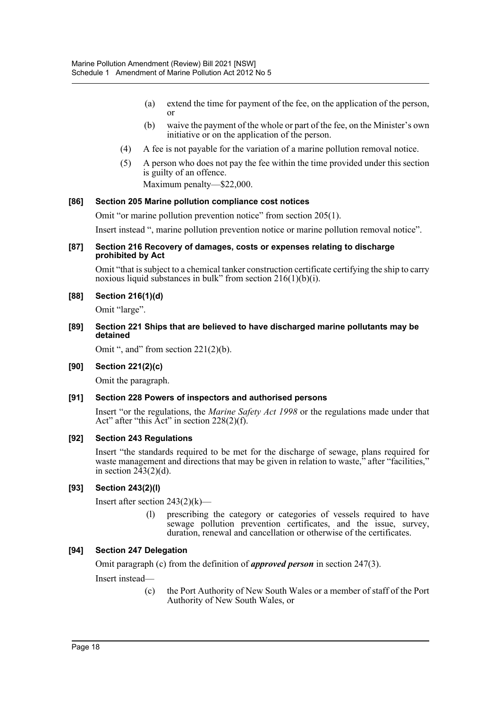- (a) extend the time for payment of the fee, on the application of the person, or
- (b) waive the payment of the whole or part of the fee, on the Minister's own initiative or on the application of the person.
- (4) A fee is not payable for the variation of a marine pollution removal notice.
- (5) A person who does not pay the fee within the time provided under this section is guilty of an offence.

Maximum penalty—\$22,000.

### **[86] Section 205 Marine pollution compliance cost notices**

Omit "or marine pollution prevention notice" from section 205(1).

Insert instead ", marine pollution prevention notice or marine pollution removal notice".

### **[87] Section 216 Recovery of damages, costs or expenses relating to discharge prohibited by Act**

Omit "that is subject to a chemical tanker construction certificate certifying the ship to carry noxious liquid substances in bulk" from section  $216(1)(b)(i)$ .

**[88] Section 216(1)(d)**

Omit "large".

**[89] Section 221 Ships that are believed to have discharged marine pollutants may be detained**

Omit ", and" from section  $221(2)(b)$ .

### **[90] Section 221(2)(c)**

Omit the paragraph.

### **[91] Section 228 Powers of inspectors and authorised persons**

Insert "or the regulations, the *Marine Safety Act 1998* or the regulations made under that Act" after "this Act" in section 228(2)(f).

### **[92] Section 243 Regulations**

Insert "the standards required to be met for the discharge of sewage, plans required for waste management and directions that may be given in relation to waste," after "facilities," in section  $243(2)(d)$ .

### **[93] Section 243(2)(l)**

Insert after section  $243(2)(k)$ —

(l) prescribing the category or categories of vessels required to have sewage pollution prevention certificates, and the issue, survey, duration, renewal and cancellation or otherwise of the certificates.

### **[94] Section 247 Delegation**

Omit paragraph (c) from the definition of *approved person* in section 247(3).

Insert instead—

(c) the Port Authority of New South Wales or a member of staff of the Port Authority of New South Wales, or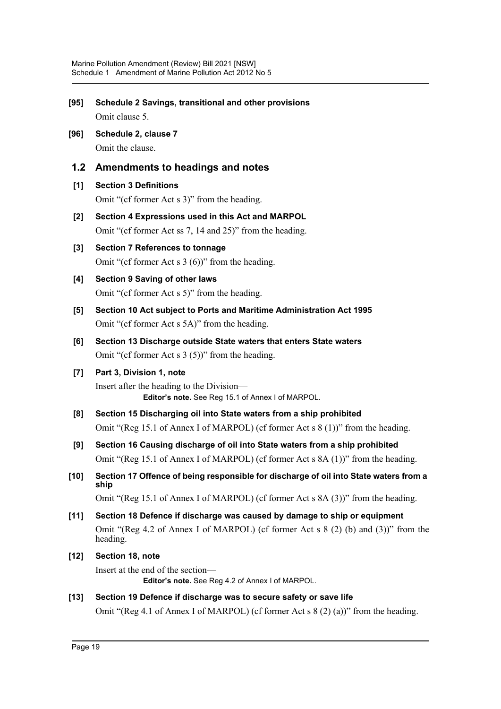- **[95] Schedule 2 Savings, transitional and other provisions** Omit clause 5.
- **[96] Schedule 2, clause 7** Omit the clause.

### **1.2 Amendments to headings and notes**

### **[1] Section 3 Definitions**

Omit "(cf former Act s 3)" from the heading.

- **[2] Section 4 Expressions used in this Act and MARPOL** Omit "(cf former Act ss 7, 14 and 25)" from the heading.
- **[3] Section 7 References to tonnage** Omit "(cf former Act s 3 (6))" from the heading.
- **[4] Section 9 Saving of other laws** Omit "(cf former Act s 5)" from the heading.
- **[5] Section 10 Act subject to Ports and Maritime Administration Act 1995** Omit "(cf former Act s 5A)" from the heading.
- **[6] Section 13 Discharge outside State waters that enters State waters** Omit "(cf former Act s 3 (5))" from the heading.

### **[7] Part 3, Division 1, note**

Insert after the heading to the Division— **Editor's note.** See Reg 15.1 of Annex I of MARPOL.

- **[8] Section 15 Discharging oil into State waters from a ship prohibited** Omit "(Reg 15.1 of Annex I of MARPOL) (cf former Act s 8 (1))" from the heading.
- **[9] Section 16 Causing discharge of oil into State waters from a ship prohibited** Omit "(Reg 15.1 of Annex I of MARPOL) (cf former Act s 8A (1))" from the heading.
- **[10] Section 17 Offence of being responsible for discharge of oil into State waters from a ship**

Omit "(Reg 15.1 of Annex I of MARPOL) (cf former Act s 8A (3))" from the heading.

- **[11] Section 18 Defence if discharge was caused by damage to ship or equipment** Omit "(Reg 4.2 of Annex I of MARPOL) (cf former Act s 8 (2) (b) and (3))" from the heading.
- **[12] Section 18, note**

Insert at the end of the section— **Editor's note.** See Reg 4.2 of Annex I of MARPOL.

### **[13] Section 19 Defence if discharge was to secure safety or save life**

Omit "(Reg 4.1 of Annex I of MARPOL) (cf former Act s  $8(2)(a)$ )" from the heading.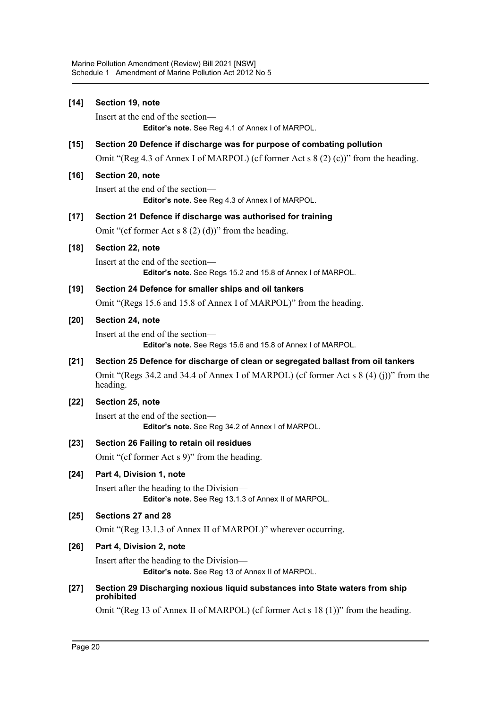| $[14]$ | Section 19, note                                                                                   |
|--------|----------------------------------------------------------------------------------------------------|
|        | Insert at the end of the section-                                                                  |
|        | Editor's note. See Reg 4.1 of Annex I of MARPOL.                                                   |
| [15]   | Section 20 Defence if discharge was for purpose of combating pollution                             |
|        | Omit "(Reg 4.3 of Annex I of MARPOL) (cf former Act s $8(2)$ (c))" from the heading.               |
| [16]   | Section 20, note                                                                                   |
|        | Insert at the end of the section-<br>Editor's note. See Reg 4.3 of Annex I of MARPOL.              |
| [17]   | Section 21 Defence if discharge was authorised for training                                        |
|        | Omit "(cf former Act s $8(2)(d)$ )" from the heading.                                              |
| [18]   | Section 22, note                                                                                   |
|        | Insert at the end of the section-                                                                  |
|        | Editor's note. See Regs 15.2 and 15.8 of Annex I of MARPOL.                                        |
| [19]   | Section 24 Defence for smaller ships and oil tankers                                               |
|        | Omit "(Regs 15.6 and 15.8 of Annex I of MARPOL)" from the heading.                                 |
| [20]   | Section 24, note                                                                                   |
|        | Insert at the end of the section-<br>Editor's note. See Regs 15.6 and 15.8 of Annex I of MARPOL.   |
| $[21]$ | Section 25 Defence for discharge of clean or segregated ballast from oil tankers                   |
|        | Omit "(Regs 34.2 and 34.4 of Annex I of MARPOL) (cf former Act s $8(4)(j)$ )" from the<br>heading. |
| $[22]$ | Section 25, note                                                                                   |
|        | Insert at the end of the section-<br>Editor's note. See Reg 34.2 of Annex I of MARPOL.             |
| $[23]$ | Section 26 Failing to retain oil residues                                                          |
|        | Omit "(cf former Act s 9)" from the heading.                                                       |
| $[24]$ | Part 4, Division 1, note                                                                           |
|        | Insert after the heading to the Division-<br>Editor's note. See Reg 13.1.3 of Annex II of MARPOL.  |
| [25]   | Sections 27 and 28                                                                                 |
|        | Omit "(Reg 13.1.3 of Annex II of MARPOL)" wherever occurring.                                      |
| [26]   | Part 4, Division 2, note                                                                           |
|        | Insert after the heading to the Division—                                                          |
|        | Editor's note. See Reg 13 of Annex II of MARPOL.                                                   |
| $[27]$ | Section 29 Discharging noxious liquid substances into State waters from ship<br>prohibited         |
|        | Omit "(Reg 13 of Annex II of MARPOL) (cf former Act s 18 (1))" from the heading.                   |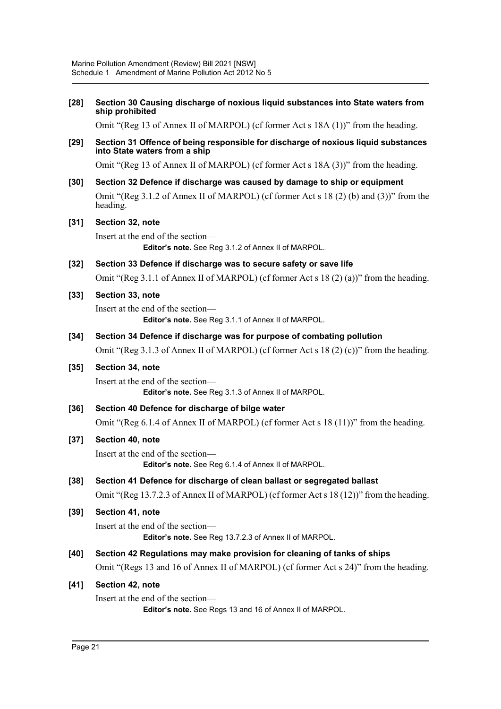| $[28]$      | Section 30 Causing discharge of noxious liquid substances into State waters from<br>ship prohibited                 |
|-------------|---------------------------------------------------------------------------------------------------------------------|
|             | Omit "(Reg 13 of Annex II of MARPOL) (cf former Act s 18A (1))" from the heading.                                   |
| $[29]$      | Section 31 Offence of being responsible for discharge of noxious liquid substances<br>into State waters from a ship |
|             | Omit "(Reg 13 of Annex II of MARPOL) (cf former Act s 18A (3))" from the heading.                                   |
| $[30]$      | Section 32 Defence if discharge was caused by damage to ship or equipment                                           |
|             | Omit "(Reg 3.1.2 of Annex II of MARPOL) (cf former Act s 18 (2) (b) and (3))" from the<br>heading.                  |
| $\sqrt{31}$ | Section 32, note                                                                                                    |
|             | Insert at the end of the section-<br>Editor's note. See Reg 3.1.2 of Annex II of MARPOL.                            |
| $[32]$      | Section 33 Defence if discharge was to secure safety or save life                                                   |
|             | Omit "(Reg 3.1.1 of Annex II of MARPOL) (cf former Act s 18 (2) (a))" from the heading.                             |
| $[33]$      | Section 33, note                                                                                                    |
|             | Insert at the end of the section-<br>Editor's note. See Reg 3.1.1 of Annex II of MARPOL.                            |
| $[34]$      | Section 34 Defence if discharge was for purpose of combating pollution                                              |
|             | Omit "(Reg 3.1.3 of Annex II of MARPOL) (cf former Act s 18 (2) (c))" from the heading.                             |
| $[35]$      | Section 34, note                                                                                                    |
|             | Insert at the end of the section-<br>Editor's note. See Reg 3.1.3 of Annex II of MARPOL.                            |
| $[36]$      | Section 40 Defence for discharge of bilge water                                                                     |
|             | Omit "(Reg 6.1.4 of Annex II of MARPOL) (cf former Act s 18 (11))" from the heading.                                |
| $[37]$      | Section 40, note                                                                                                    |
|             | Insert at the end of the section-<br>Editor's note. See Reg 6.1.4 of Annex II of MARPOL.                            |
| $[38]$      | Section 41 Defence for discharge of clean ballast or segregated ballast                                             |
|             | Omit "(Reg 13.7.2.3 of Annex II of MARPOL) (cf former Act s 18 (12))" from the heading.                             |
| $[39]$      | Section 41, note                                                                                                    |
|             | Insert at the end of the section-<br>Editor's note. See Reg 13.7.2.3 of Annex II of MARPOL.                         |
| [40]        | Section 42 Regulations may make provision for cleaning of tanks of ships                                            |
|             | Omit "(Regs 13 and 16 of Annex II of MARPOL) (cf former Act s 24)" from the heading.                                |
| $[41]$      | Section 42, note                                                                                                    |
|             | Insert at the end of the section-                                                                                   |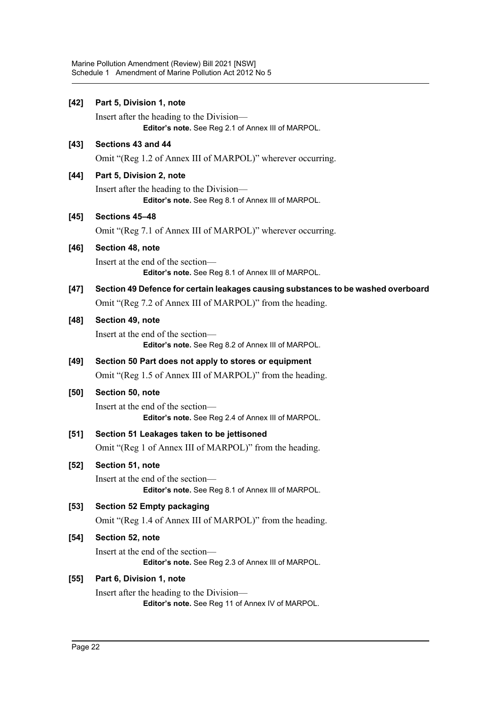| $[42]$ | Part 5, Division 1, note                                                                                                                       |
|--------|------------------------------------------------------------------------------------------------------------------------------------------------|
|        | Insert after the heading to the Division—<br>Editor's note. See Reg 2.1 of Annex III of MARPOL.                                                |
| [43]   | Sections 43 and 44                                                                                                                             |
|        | Omit "(Reg 1.2 of Annex III of MARPOL)" wherever occurring.                                                                                    |
| $[44]$ | Part 5, Division 2, note<br>Insert after the heading to the Division-<br>Editor's note. See Reg 8.1 of Annex III of MARPOL.                    |
| $[45]$ | Sections 45-48<br>Omit "(Reg 7.1 of Annex III of MARPOL)" wherever occurring.                                                                  |
| $[46]$ | Section 48, note                                                                                                                               |
|        | Insert at the end of the section-<br>Editor's note. See Reg 8.1 of Annex III of MARPOL.                                                        |
| $[47]$ | Section 49 Defence for certain leakages causing substances to be washed overboard<br>Omit "(Reg 7.2 of Annex III of MARPOL)" from the heading. |
| $[48]$ | Section 49, note<br>Insert at the end of the section-<br>Editor's note. See Reg 8.2 of Annex III of MARPOL.                                    |
| [49]   | Section 50 Part does not apply to stores or equipment                                                                                          |
|        | Omit "(Reg 1.5 of Annex III of MARPOL)" from the heading.                                                                                      |
| [50]   | Section 50, note                                                                                                                               |
|        | Insert at the end of the section-<br>Editor's note. See Reg 2.4 of Annex III of MARPOL.                                                        |
| $[51]$ | Section 51 Leakages taken to be jettisoned<br>Omit "(Reg 1 of Annex III of MARPOL)" from the heading.                                          |
| $[52]$ | Section 51, note<br>Insert at the end of the section-                                                                                          |
|        | Editor's note. See Reg 8.1 of Annex III of MARPOL.                                                                                             |
| $[53]$ | <b>Section 52 Empty packaging</b>                                                                                                              |
|        | Omit "(Reg 1.4 of Annex III of MARPOL)" from the heading.                                                                                      |
| $[54]$ | Section 52, note                                                                                                                               |
|        | Insert at the end of the section-<br>Editor's note. See Reg 2.3 of Annex III of MARPOL.                                                        |
| [55]   | Part 6, Division 1, note                                                                                                                       |

Insert after the heading to the Division— **Editor's note.** See Reg 11 of Annex IV of MARPOL.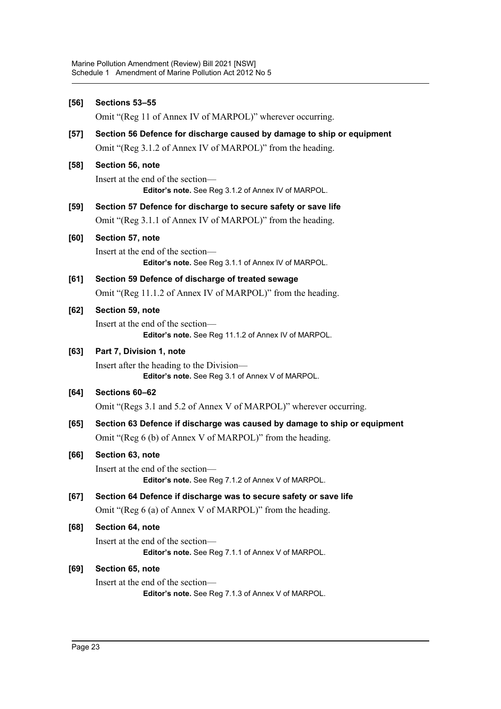| $[56]$ | Sections 53-55                                                                                |
|--------|-----------------------------------------------------------------------------------------------|
|        | Omit "(Reg 11 of Annex IV of MARPOL)" wherever occurring.                                     |
| $[57]$ | Section 56 Defence for discharge caused by damage to ship or equipment                        |
|        | Omit "(Reg 3.1.2 of Annex IV of MARPOL)" from the heading.                                    |
| $[58]$ | Section 56, note                                                                              |
|        | Insert at the end of the section-<br>Editor's note. See Reg 3.1.2 of Annex IV of MARPOL.      |
| $[59]$ | Section 57 Defence for discharge to secure safety or save life                                |
|        | Omit "(Reg 3.1.1 of Annex IV of MARPOL)" from the heading.                                    |
| [60]   | Section 57, note                                                                              |
|        | Insert at the end of the section—<br>Editor's note. See Reg 3.1.1 of Annex IV of MARPOL.      |
| [61]   | Section 59 Defence of discharge of treated sewage                                             |
|        | Omit "(Reg 11.1.2 of Annex IV of MARPOL)" from the heading.                                   |
| [62]   | Section 59, note                                                                              |
|        | Insert at the end of the section-<br>Editor's note. See Reg 11.1.2 of Annex IV of MARPOL.     |
| [63]   | Part 7, Division 1, note                                                                      |
|        | Insert after the heading to the Division—<br>Editor's note. See Reg 3.1 of Annex V of MARPOL. |
| $[64]$ | Sections 60-62                                                                                |
|        | Omit "(Regs 3.1 and 5.2 of Annex V of MARPOL)" wherever occurring.                            |
| [65]   | Section 63 Defence if discharge was caused by damage to ship or equipment                     |
|        | Omit "(Reg 6 (b) of Annex V of MARPOL)" from the heading.                                     |
| [66]   | Section 63, note                                                                              |
|        | Insert at the end of the section-<br>Editor's note. See Reg 7.1.2 of Annex V of MARPOL.       |
| [67]   | Section 64 Defence if discharge was to secure safety or save life                             |
|        | Omit "(Reg 6 (a) of Annex V of MARPOL)" from the heading.                                     |
| [68]   | Section 64, note                                                                              |
|        | Insert at the end of the section-<br>Editor's note. See Reg 7.1.1 of Annex V of MARPOL.       |
| [69]   | Section 65, note                                                                              |
|        | Insert at the end of the section-<br>Editor's note. See Reg 7.1.3 of Annex V of MARPOL.       |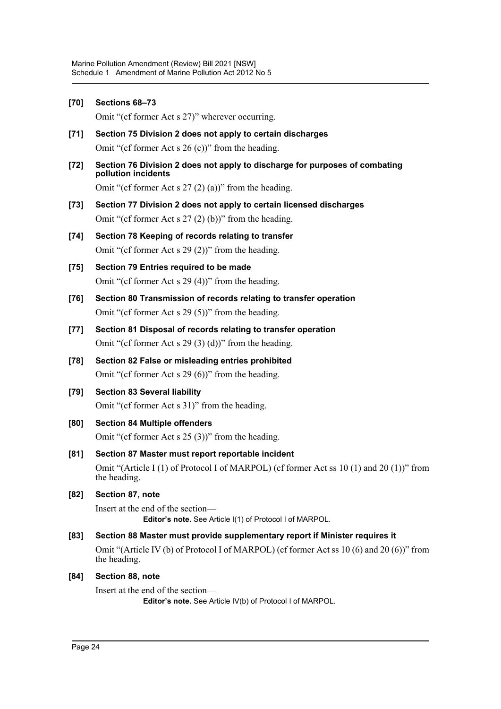| $[70]$ | Sections 68-73                                                                                               |
|--------|--------------------------------------------------------------------------------------------------------------|
|        | Omit "(cf former Act s 27)" wherever occurring.                                                              |
| $[71]$ | Section 75 Division 2 does not apply to certain discharges                                                   |
|        | Omit "(cf former Act s $26$ (c))" from the heading.                                                          |
| $[72]$ | Section 76 Division 2 does not apply to discharge for purposes of combating<br>pollution incidents           |
|        | Omit "(cf former Act s $27(2)(a)$ )" from the heading.                                                       |
| $[73]$ | Section 77 Division 2 does not apply to certain licensed discharges                                          |
|        | Omit "(cf former Act s $27(2)(b)$ )" from the heading.                                                       |
| $[74]$ | Section 78 Keeping of records relating to transfer                                                           |
|        | Omit "(cf former Act s $29(2)$ )" from the heading.                                                          |
| $[75]$ | Section 79 Entries required to be made                                                                       |
|        | Omit "(cf former Act s $29(4)$ )" from the heading.                                                          |
| $[76]$ | Section 80 Transmission of records relating to transfer operation                                            |
|        | Omit "(cf former Act s $29(5)$ )" from the heading.                                                          |
| $[77]$ | Section 81 Disposal of records relating to transfer operation                                                |
|        | Omit "(cf former Act s $29(3)(d)$ )" from the heading.                                                       |
| $[78]$ | Section 82 False or misleading entries prohibited                                                            |
|        | Omit "(cf former Act s $29(6)$ )" from the heading.                                                          |
| [79]   | <b>Section 83 Several liability</b>                                                                          |
|        | Omit "(cf former Act s 31)" from the heading.                                                                |
| [80]   | <b>Section 84 Multiple offenders</b>                                                                         |
|        | Omit "(cf former Act s $25(3)$ )" from the heading.                                                          |
| [81]   | Section 87 Master must report reportable incident                                                            |
|        | Omit "(Article I (1) of Protocol I of MARPOL) (cf former Act ss $10(1)$ and $20(1)$ )" from<br>the heading.  |
| $[82]$ | Section 87, note                                                                                             |
|        | Insert at the end of the section—<br>Editor's note. See Article I(1) of Protocol I of MARPOL.                |
| [83]   | Section 88 Master must provide supplementary report if Minister requires it                                  |
|        | Omit "(Article IV (b) of Protocol I of MARPOL) (cf former Act ss $10(6)$ and $20(6)$ )" from<br>the heading. |
| [84]   | Section 88, note                                                                                             |
|        | Insert at the end of the section-                                                                            |

**Editor's note.** See Article IV(b) of Protocol I of MARPOL.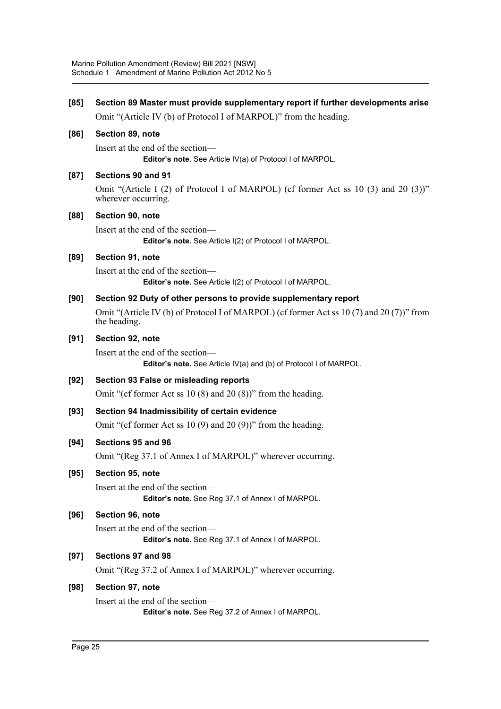| [85]   | Section 89 Master must provide supplementary report if further developments arise                          |
|--------|------------------------------------------------------------------------------------------------------------|
|        | Omit "(Article IV (b) of Protocol I of MARPOL)" from the heading.                                          |
| [86]   | Section 89, note                                                                                           |
|        | Insert at the end of the section—<br>Editor's note. See Article IV(a) of Protocol I of MARPOL.             |
| [87]   | Sections 90 and 91                                                                                         |
|        | Omit "(Article I (2) of Protocol I of MARPOL) (cf former Act ss 10 (3) and 20 (3))"<br>wherever occurring. |
| [88]   | Section 90, note                                                                                           |
|        | Insert at the end of the section-<br>Editor's note. See Article I(2) of Protocol I of MARPOL.              |
| [89]   | Section 91, note                                                                                           |
|        | Insert at the end of the section-<br>Editor's note. See Article I(2) of Protocol I of MARPOL.              |
| [90]   | Section 92 Duty of other persons to provide supplementary report                                           |
|        | Omit "(Article IV (b) of Protocol I of MARPOL) (cf former Act ss 10 (7) and 20 (7)" from<br>the heading.   |
| [91]   | Section 92, note                                                                                           |
|        | Insert at the end of the section-<br>Editor's note. See Article IV(a) and (b) of Protocol I of MARPOL.     |
| $[92]$ | Section 93 False or misleading reports                                                                     |
|        | Omit "(cf former Act ss $10(8)$ and $20(8)$ )" from the heading.                                           |
| $[93]$ | Section 94 Inadmissibility of certain evidence                                                             |
|        | Omit "(cf former Act ss 10 $(9)$ and 20 $(9)$ )" from the heading.                                         |
| [94]   | Sections 95 and 96                                                                                         |
|        | Omit "(Reg 37.1 of Annex I of MARPOL)" wherever occurring.                                                 |
| [95]   | Section 95, note                                                                                           |
|        | Insert at the end of the section—<br>Editor's note. See Reg 37.1 of Annex I of MARPOL.                     |
| [96]   | Section 96, note                                                                                           |
|        | Insert at the end of the section-<br>Editor's note. See Reg 37.1 of Annex I of MARPOL.                     |
| $[97]$ | Sections 97 and 98                                                                                         |
|        | Omit "(Reg 37.2 of Annex I of MARPOL)" wherever occurring.                                                 |
| $[98]$ | Section 97, note                                                                                           |
|        | Insert at the end of the section-<br>Editor's note. See Reg 37.2 of Annex I of MARPOL.                     |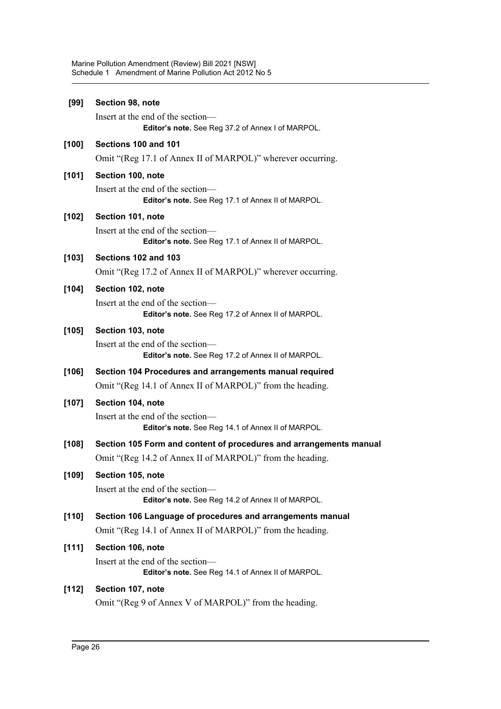| [99]    | Section 98, note                                                                        |
|---------|-----------------------------------------------------------------------------------------|
|         | Insert at the end of the section-<br>Editor's note. See Reg 37.2 of Annex I of MARPOL.  |
| $[100]$ | Sections 100 and 101                                                                    |
|         | Omit "(Reg 17.1 of Annex II of MARPOL)" wherever occurring.                             |
| $[101]$ | Section 100, note                                                                       |
|         | Insert at the end of the section-<br>Editor's note. See Reg 17.1 of Annex II of MARPOL. |
| [102]   | Section 101, note                                                                       |
|         | Insert at the end of the section-<br>Editor's note. See Reg 17.1 of Annex II of MARPOL. |
| [103]   | Sections 102 and 103                                                                    |
|         | Omit "(Reg 17.2 of Annex II of MARPOL)" wherever occurring.                             |
| $[104]$ | Section 102, note                                                                       |
|         | Insert at the end of the section—<br>Editor's note. See Reg 17.2 of Annex II of MARPOL. |
| $[105]$ | Section 103, note                                                                       |
|         | Insert at the end of the section—<br>Editor's note. See Reg 17.2 of Annex II of MARPOL. |
| [106]   | Section 104 Procedures and arrangements manual required                                 |
|         | Omit "(Reg 14.1 of Annex II of MARPOL)" from the heading.                               |
| [107]   | Section 104, note                                                                       |
|         | Insert at the end of the section-<br>Editor's note. See Reg 14.1 of Annex II of MARPOL. |
| $[108]$ | Section 105 Form and content of procedures and arrangements manual                      |
|         | Omit "(Reg 14.2 of Annex II of MARPOL)" from the heading.                               |
| [109]   | Section 105, note                                                                       |
|         | Insert at the end of the section-<br>Editor's note. See Reg 14.2 of Annex II of MARPOL. |
| [110]   | Section 106 Language of procedures and arrangements manual                              |
|         | Omit "(Reg 14.1 of Annex II of MARPOL)" from the heading.                               |
| [111]   | Section 106, note                                                                       |
|         | Insert at the end of the section—<br>Editor's note. See Reg 14.1 of Annex II of MARPOL. |
| $[112]$ | Section 107, note                                                                       |
|         | Omit "(Reg 9 of Annex V of MARPOL)" from the heading.                                   |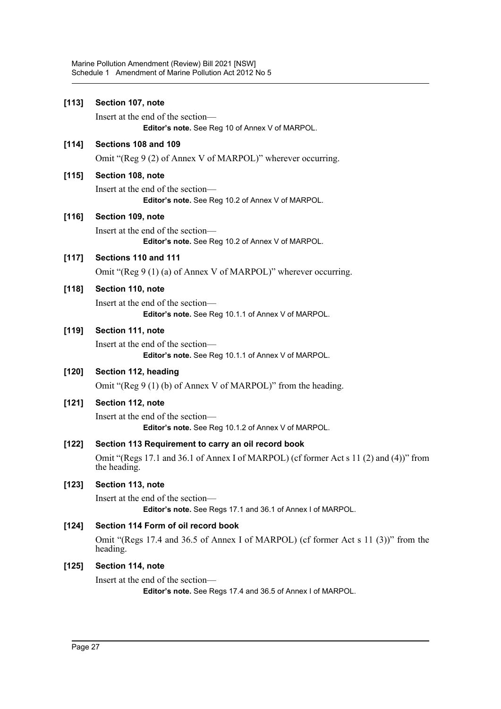| [113]   | Section 107, note                                                                                      |
|---------|--------------------------------------------------------------------------------------------------------|
|         | Insert at the end of the section-<br>Editor's note. See Reg 10 of Annex V of MARPOL.                   |
| [114]   | Sections 108 and 109                                                                                   |
|         | Omit "(Reg 9 (2) of Annex V of MARPOL)" wherever occurring.                                            |
| $[115]$ | Section 108, note                                                                                      |
|         | Insert at the end of the section-<br>Editor's note. See Reg 10.2 of Annex V of MARPOL.                 |
| $[116]$ | Section 109, note                                                                                      |
|         | Insert at the end of the section-<br>Editor's note. See Reg 10.2 of Annex V of MARPOL.                 |
| $[117]$ | Sections 110 and 111                                                                                   |
|         | Omit "(Reg 9 $(1)$ (a) of Annex V of MARPOL)" wherever occurring.                                      |
| $[118]$ | Section 110, note                                                                                      |
|         | Insert at the end of the section—<br>Editor's note. See Reg 10.1.1 of Annex V of MARPOL.               |
| [119]   | Section 111, note                                                                                      |
|         | Insert at the end of the section-<br>Editor's note. See Reg 10.1.1 of Annex V of MARPOL.               |
| $[120]$ | Section 112, heading                                                                                   |
|         | Omit "(Reg $9(1)$ (b) of Annex V of MARPOL)" from the heading.                                         |
| $[121]$ | Section 112, note                                                                                      |
|         | Insert at the end of the section-<br>Editor's note. See Reg 10.1.2 of Annex V of MARPOL.               |
| $[122]$ | Section 113 Requirement to carry an oil record book                                                    |
|         | Omit "(Regs 17.1 and 36.1 of Annex I of MARPOL) (cf former Act s 11 (2) and (4))" from<br>the heading. |
| $[123]$ | Section 113, note                                                                                      |
|         | Insert at the end of the section-<br>Editor's note. See Regs 17.1 and 36.1 of Annex I of MARPOL.       |
| [124]   | Section 114 Form of oil record book                                                                    |
|         | Omit "(Regs 17.4 and 36.5 of Annex I of MARPOL) (cf former Act s 11 (3))" from the<br>heading.         |
| [125]   | Section 114, note                                                                                      |
|         | Insert at the end of the section—<br>Editor's note. See Regs 17.4 and 36.5 of Annex I of MARPOL.       |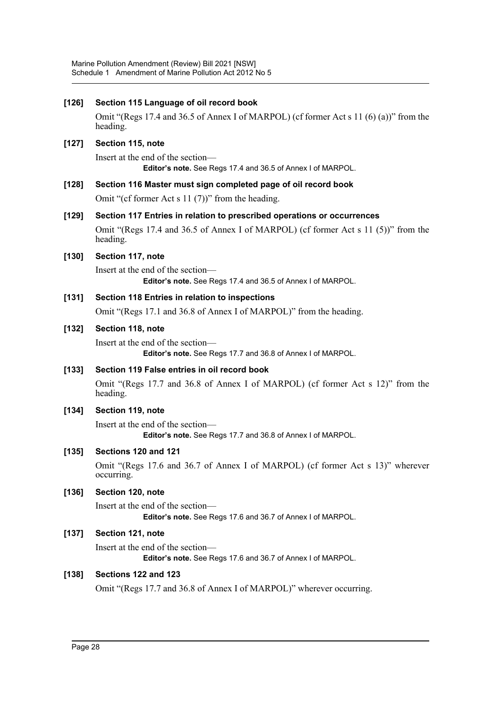Marine Pollution Amendment (Review) Bill 2021 [NSW] Schedule 1 Amendment of Marine Pollution Act 2012 No 5

| $[126]$ | Section 115 Language of oil record book                                                            |
|---------|----------------------------------------------------------------------------------------------------|
|         | Omit "(Regs 17.4 and 36.5 of Annex I of MARPOL) (cf former Act s 11 (6) (a))" from the<br>heading. |
| [127]   | Section 115, note                                                                                  |
|         | Insert at the end of the section-<br>Editor's note. See Regs 17.4 and 36.5 of Annex I of MARPOL.   |
| $[128]$ | Section 116 Master must sign completed page of oil record book                                     |
|         | Omit "(cf former Act s $11(7)$ )" from the heading.                                                |
| [129]   | Section 117 Entries in relation to prescribed operations or occurrences                            |
|         | Omit "(Regs 17.4 and 36.5 of Annex I of MARPOL) (cf former Act s 11 (5))" from the<br>heading.     |
| $[130]$ | Section 117, note                                                                                  |
|         | Insert at the end of the section—<br>Editor's note. See Regs 17.4 and 36.5 of Annex I of MARPOL.   |
| $[131]$ | Section 118 Entries in relation to inspections                                                     |
|         | Omit "(Regs 17.1 and 36.8 of Annex I of MARPOL)" from the heading.                                 |
| $[132]$ | Section 118, note                                                                                  |
|         | Insert at the end of the section-<br>Editor's note. See Regs 17.7 and 36.8 of Annex I of MARPOL.   |
| $[133]$ | Section 119 False entries in oil record book                                                       |
|         | Omit "(Regs 17.7 and 36.8 of Annex I of MARPOL) (cf former Act s 12)" from the<br>heading.         |
| $[134]$ | Section 119, note                                                                                  |
|         | Insert at the end of the section-<br>Editor's note. See Regs 17.7 and 36.8 of Annex I of MARPOL.   |
| $[135]$ | Sections 120 and 121                                                                               |
|         | Omit "(Regs 17.6 and 36.7 of Annex I of MARPOL) (cf former Act s 13)" wherever<br>occurring.       |
| $[136]$ | Section 120, note                                                                                  |
|         | Insert at the end of the section-<br>Editor's note. See Regs 17.6 and 36.7 of Annex I of MARPOL.   |
| $[137]$ | Section 121, note                                                                                  |
|         | Insert at the end of the section-<br>Editor's note. See Regs 17.6 and 36.7 of Annex I of MARPOL.   |
| $[138]$ | Sections 122 and 123                                                                               |
|         | Omit "(Regs 17.7 and 36.8 of Annex I of MARPOL)" wherever occurring.                               |
|         |                                                                                                    |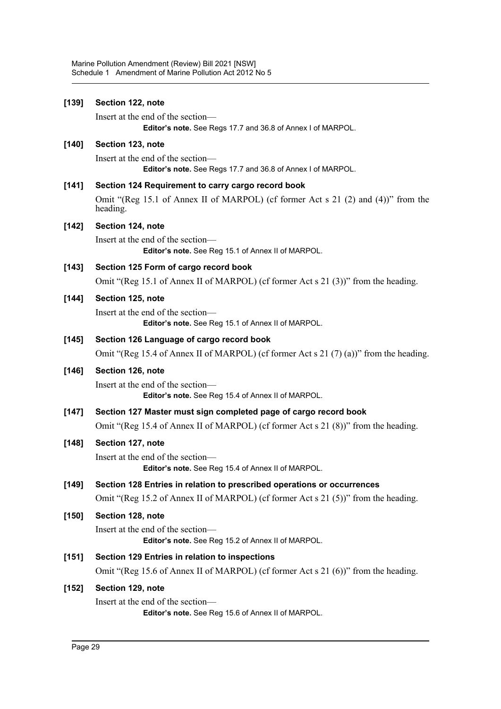| [139]   | Section 122, note                                                                                |
|---------|--------------------------------------------------------------------------------------------------|
|         | Insert at the end of the section—<br>Editor's note. See Regs 17.7 and 36.8 of Annex I of MARPOL. |
| [140]   | Section 123, note                                                                                |
|         | Insert at the end of the section—<br>Editor's note. See Regs 17.7 and 36.8 of Annex I of MARPOL. |
| [141]   | Section 124 Requirement to carry cargo record book                                               |
|         | Omit "(Reg 15.1 of Annex II of MARPOL) (cf former Act s 21 (2) and (4))" from the<br>heading.    |
| [142]   | Section 124, note                                                                                |
|         | Insert at the end of the section—<br>Editor's note. See Reg 15.1 of Annex II of MARPOL.          |
| $[143]$ | Section 125 Form of cargo record book                                                            |
|         | Omit "(Reg 15.1 of Annex II of MARPOL) (cf former Act s 21 (3))" from the heading.               |
| [144]   | Section 125, note                                                                                |
|         | Insert at the end of the section-<br>Editor's note. See Reg 15.1 of Annex II of MARPOL.          |
| $[145]$ | Section 126 Language of cargo record book                                                        |
|         | Omit "(Reg 15.4 of Annex II of MARPOL) (cf former Act s 21 (7) (a))" from the heading.           |
| [146]   | Section 126, note                                                                                |
|         | Insert at the end of the section-<br>Editor's note. See Reg 15.4 of Annex II of MARPOL.          |
| [147]   | Section 127 Master must sign completed page of cargo record book                                 |
|         | Omit "(Reg 15.4 of Annex II of MARPOL) (cf former Act s 21 (8))" from the heading.               |
| [148]   | Section 127, note                                                                                |
|         | Insert at the end of the section—<br>Editor's note. See Reg 15.4 of Annex II of MARPOL.          |
| $[149]$ | Section 128 Entries in relation to prescribed operations or occurrences                          |
|         | Omit "(Reg 15.2 of Annex II of MARPOL) (cf former Act s 21 (5))" from the heading.               |
| $[150]$ | Section 128, note                                                                                |
|         | Insert at the end of the section-<br>Editor's note. See Reg 15.2 of Annex II of MARPOL.          |
| $[151]$ | Section 129 Entries in relation to inspections                                                   |
|         | Omit "(Reg 15.6 of Annex II of MARPOL) (cf former Act s 21 (6))" from the heading.               |
| $[152]$ | Section 129, note                                                                                |
|         | Insert at the end of the section-<br>Editor's note. See Reg 15.6 of Annex II of MARPOL.          |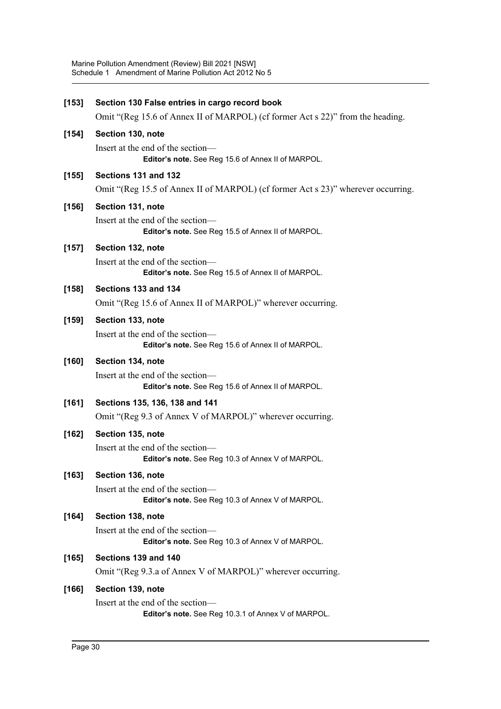| [153]   | Section 130 False entries in cargo record book                                           |
|---------|------------------------------------------------------------------------------------------|
|         | Omit "(Reg 15.6 of Annex II of MARPOL) (cf former Act s 22)" from the heading.           |
| $[154]$ | Section 130, note                                                                        |
|         | Insert at the end of the section-<br>Editor's note. See Reg 15.6 of Annex II of MARPOL.  |
| $[155]$ | Sections 131 and 132                                                                     |
|         | Omit "(Reg 15.5 of Annex II of MARPOL) (cf former Act s 23)" wherever occurring.         |
| $[156]$ | Section 131, note                                                                        |
|         | Insert at the end of the section-<br>Editor's note. See Reg 15.5 of Annex II of MARPOL.  |
| $[157]$ | Section 132, note                                                                        |
|         | Insert at the end of the section-<br>Editor's note. See Reg 15.5 of Annex II of MARPOL.  |
| $[158]$ | Sections 133 and 134                                                                     |
|         | Omit "(Reg 15.6 of Annex II of MARPOL)" wherever occurring.                              |
| $[159]$ | Section 133, note                                                                        |
|         | Insert at the end of the section-<br>Editor's note. See Reg 15.6 of Annex II of MARPOL.  |
| $[160]$ | Section 134, note                                                                        |
|         | Insert at the end of the section-<br>Editor's note. See Reg 15.6 of Annex II of MARPOL.  |
| $[161]$ | Sections 135, 136, 138 and 141                                                           |
|         | Omit "(Reg 9.3 of Annex V of MARPOL)" wherever occurring.                                |
| $[162]$ | Section 135, note                                                                        |
|         | Insert at the end of the section-<br>Editor's note. See Reg 10.3 of Annex V of MARPOL.   |
| $[163]$ | Section 136, note                                                                        |
|         | Insert at the end of the section—<br>Editor's note. See Reg 10.3 of Annex V of MARPOL.   |
| [164]   | Section 138, note                                                                        |
|         | Insert at the end of the section—<br>Editor's note. See Reg 10.3 of Annex V of MARPOL.   |
| [165]   | Sections 139 and 140                                                                     |
|         | Omit "(Reg 9.3.a of Annex V of MARPOL)" wherever occurring.                              |
| $[166]$ | Section 139, note                                                                        |
|         | Insert at the end of the section-<br>Editor's note. See Reg 10.3.1 of Annex V of MARPOL. |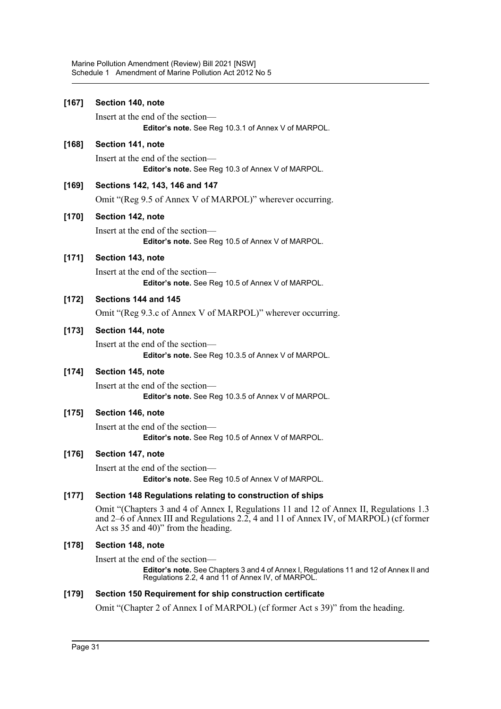Marine Pollution Amendment (Review) Bill 2021 [NSW] Schedule 1 Amendment of Marine Pollution Act 2012 No 5

| $[167]$ | Section 140, note                                                                                                                                                                                                       |
|---------|-------------------------------------------------------------------------------------------------------------------------------------------------------------------------------------------------------------------------|
|         | Insert at the end of the section-<br>Editor's note. See Reg 10.3.1 of Annex V of MARPOL.                                                                                                                                |
| [168]   | Section 141, note                                                                                                                                                                                                       |
|         | Insert at the end of the section-<br>Editor's note. See Reg 10.3 of Annex V of MARPOL.                                                                                                                                  |
| [169]   | Sections 142, 143, 146 and 147                                                                                                                                                                                          |
|         | Omit "(Reg 9.5 of Annex V of MARPOL)" wherever occurring.                                                                                                                                                               |
| [170]   | Section 142, note                                                                                                                                                                                                       |
|         | Insert at the end of the section—<br>Editor's note. See Reg 10.5 of Annex V of MARPOL.                                                                                                                                  |
| [171]   | Section 143, note                                                                                                                                                                                                       |
|         | Insert at the end of the section—<br>Editor's note. See Reg 10.5 of Annex V of MARPOL.                                                                                                                                  |
| [172]   | Sections 144 and 145                                                                                                                                                                                                    |
|         | Omit "(Reg 9.3.c of Annex V of MARPOL)" wherever occurring.                                                                                                                                                             |
| $[173]$ | Section 144, note                                                                                                                                                                                                       |
|         | Insert at the end of the section-<br>Editor's note. See Reg 10.3.5 of Annex V of MARPOL.                                                                                                                                |
| $[174]$ | Section 145, note                                                                                                                                                                                                       |
|         | Insert at the end of the section-<br>Editor's note. See Reg 10.3.5 of Annex V of MARPOL.                                                                                                                                |
| [175]   | Section 146, note                                                                                                                                                                                                       |
|         | Insert at the end of the section-<br>Editor's note. See Reg 10.5 of Annex V of MARPOL.                                                                                                                                  |
| [176]   | Section 147, note                                                                                                                                                                                                       |
|         | Insert at the end of the section-<br><b>Editor's note.</b> See Reg 10.5 of Annex V of MARPOL.                                                                                                                           |
| [177]   | Section 148 Regulations relating to construction of ships                                                                                                                                                               |
|         | Omit "(Chapters 3 and 4 of Annex I, Regulations 11 and 12 of Annex II, Regulations 1.3<br>and 2–6 of Annex III and Regulations 2.2, 4 and 11 of Annex IV, of MARPOL) (cf former<br>Act ss 35 and 40)" from the heading. |
| [178]   | Section 148, note                                                                                                                                                                                                       |
|         | Insert at the end of the section—                                                                                                                                                                                       |
|         | Editor's note, See Chapters 2 and 4 of Annoy L Pequiptions 11 and 12 of Annoy II and                                                                                                                                    |

**Editor's note.** See Chapters 3 and 4 of Annex I, Regulations 11 and 12 of Annex II and Regulations 2.2, 4 and 11 of Annex IV, of MARPOL.

### **[179] Section 150 Requirement for ship construction certificate**

Omit "(Chapter 2 of Annex I of MARPOL) (cf former Act s 39)" from the heading.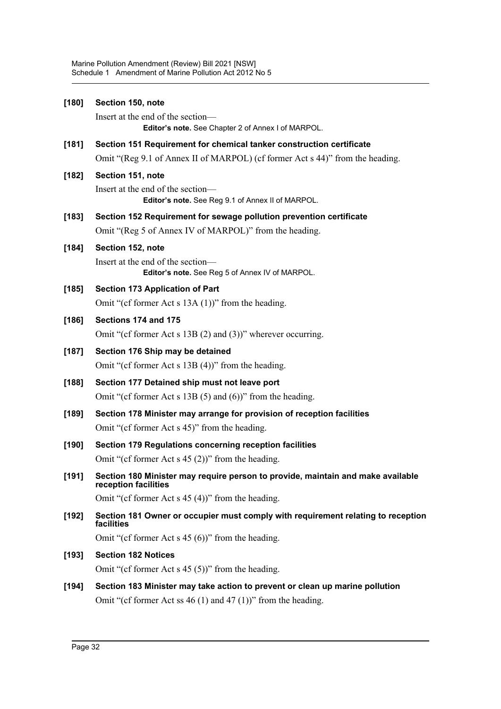| $[180]$ | Section 150, note                                                                                                                                |  |  |
|---------|--------------------------------------------------------------------------------------------------------------------------------------------------|--|--|
|         | Insert at the end of the section-<br>Editor's note. See Chapter 2 of Annex I of MARPOL.                                                          |  |  |
| $[181]$ | Section 151 Requirement for chemical tanker construction certificate                                                                             |  |  |
|         | Omit "(Reg 9.1 of Annex II of MARPOL) (cf former Act s 44)" from the heading.                                                                    |  |  |
| $[182]$ | Section 151, note                                                                                                                                |  |  |
|         | Insert at the end of the section-<br>Editor's note. See Reg 9.1 of Annex II of MARPOL.                                                           |  |  |
| $[183]$ | Section 152 Requirement for sewage pollution prevention certificate                                                                              |  |  |
|         | Omit "(Reg 5 of Annex IV of MARPOL)" from the heading.                                                                                           |  |  |
| $[184]$ | Section 152, note                                                                                                                                |  |  |
|         | Insert at the end of the section—<br>Editor's note. See Reg 5 of Annex IV of MARPOL.                                                             |  |  |
| $[185]$ | <b>Section 173 Application of Part</b>                                                                                                           |  |  |
|         | Omit "(cf former Act s $13A(1)$ )" from the heading.                                                                                             |  |  |
| $[186]$ | Sections 174 and 175                                                                                                                             |  |  |
|         | Omit "(cf former Act s $13B(2)$ and $(3)$ )" wherever occurring.                                                                                 |  |  |
| $[187]$ | Section 176 Ship may be detained                                                                                                                 |  |  |
|         | Omit "(cf former Act s $13B(4)$ )" from the heading.                                                                                             |  |  |
| $[188]$ | Section 177 Detained ship must not leave port                                                                                                    |  |  |
|         | Omit "(cf former Act s $13B(5)$ and $(6)$ )" from the heading.                                                                                   |  |  |
| $[189]$ | Section 178 Minister may arrange for provision of reception facilities                                                                           |  |  |
|         | Omit "(cf former Act s 45)" from the heading.                                                                                                    |  |  |
| $[190]$ | Section 179 Regulations concerning reception facilities                                                                                          |  |  |
|         | Omit "(cf former Act s $45(2)$ )" from the heading.                                                                                              |  |  |
| [191]   | Section 180 Minister may require person to provide, maintain and make available<br>reception facilities                                          |  |  |
|         | Omit "(cf former Act s $45(4)$ )" from the heading.                                                                                              |  |  |
| $[192]$ | Section 181 Owner or occupier must comply with requirement relating to reception<br>facilities                                                   |  |  |
|         | Omit "(cf former Act s $45(6)$ )" from the heading.                                                                                              |  |  |
| $[193]$ | <b>Section 182 Notices</b>                                                                                                                       |  |  |
|         | Omit "(cf former Act s $45(5)$ )" from the heading.                                                                                              |  |  |
| [194]   | Section 183 Minister may take action to prevent or clean up marine pollution<br>Omit "(cf former Act ss $46(1)$ and $47(1)$ )" from the heading. |  |  |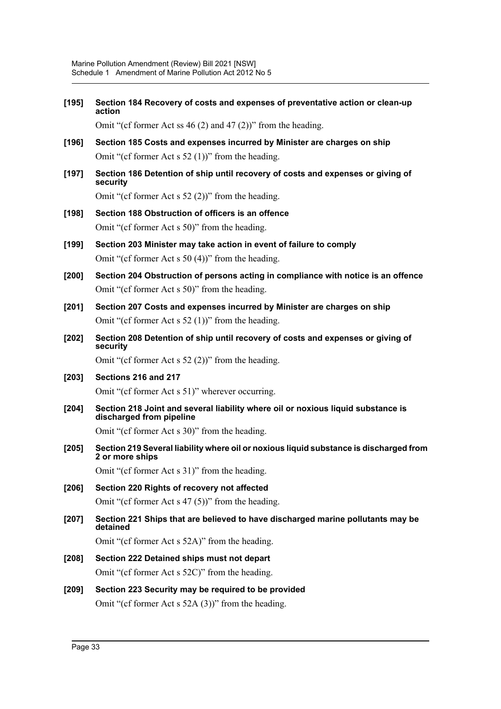**[195] Section 184 Recovery of costs and expenses of preventative action or clean-up action**

Omit "(cf former Act ss 46 (2) and 47 (2))" from the heading.

- **[196] Section 185 Costs and expenses incurred by Minister are charges on ship** Omit "(cf former Act s 52 (1))" from the heading.
- **[197] Section 186 Detention of ship until recovery of costs and expenses or giving of security**

Omit "(cf former Act s 52 (2))" from the heading.

- **[198] Section 188 Obstruction of officers is an offence** Omit "(cf former Act s 50)" from the heading.
- **[199] Section 203 Minister may take action in event of failure to comply** Omit "(cf former Act s 50 (4))" from the heading.
- **[200] Section 204 Obstruction of persons acting in compliance with notice is an offence** Omit "(cf former Act s 50)" from the heading.
- **[201] Section 207 Costs and expenses incurred by Minister are charges on ship** Omit "(cf former Act s 52 (1))" from the heading.
- **[202] Section 208 Detention of ship until recovery of costs and expenses or giving of security**

Omit "(cf former Act s 52 (2))" from the heading.

- **[203] Sections 216 and 217** Omit "(cf former Act s 51)" wherever occurring.
- **[204] Section 218 Joint and several liability where oil or noxious liquid substance is discharged from pipeline**

Omit "(cf former Act s 30)" from the heading.

**[205] Section 219 Several liability where oil or noxious liquid substance is discharged from 2 or more ships**

Omit "(cf former Act s 31)" from the heading.

- **[206] Section 220 Rights of recovery not affected** Omit "(cf former Act s 47 (5))" from the heading.
- **[207] Section 221 Ships that are believed to have discharged marine pollutants may be detained**

Omit "(cf former Act s 52A)" from the heading.

- **[208] Section 222 Detained ships must not depart** Omit "(cf former Act s 52C)" from the heading.
- **[209] Section 223 Security may be required to be provided** Omit "(cf former Act s 52A (3))" from the heading.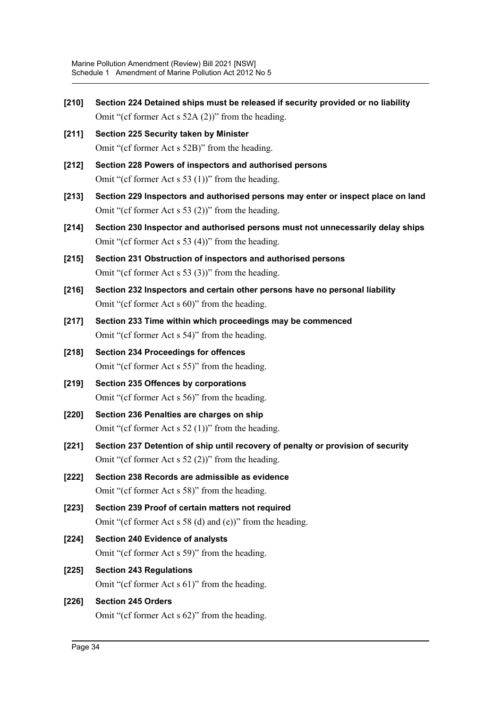**[210] Section 224 Detained ships must be released if security provided or no liability** Omit "(cf former Act s 52A (2))" from the heading. **[211] Section 225 Security taken by Minister** Omit "(cf former Act s 52B)" from the heading. **[212] Section 228 Powers of inspectors and authorised persons** Omit "(cf former Act s 53 (1))" from the heading. **[213] Section 229 Inspectors and authorised persons may enter or inspect place on land** Omit "(cf former Act s 53 (2))" from the heading. **[214] Section 230 Inspector and authorised persons must not unnecessarily delay ships** Omit "(cf former Act s 53 (4))" from the heading. **[215] Section 231 Obstruction of inspectors and authorised persons** Omit "(cf former Act s 53 (3))" from the heading. **[216] Section 232 Inspectors and certain other persons have no personal liability** Omit "(cf former Act s 60)" from the heading. **[217] Section 233 Time within which proceedings may be commenced** Omit "(cf former Act s 54)" from the heading. **[218] Section 234 Proceedings for offences** Omit "(cf former Act s 55)" from the heading. **[219] Section 235 Offences by corporations** Omit "(cf former Act s 56)" from the heading. **[220] Section 236 Penalties are charges on ship** Omit "(cf former Act s 52 (1))" from the heading. **[221] Section 237 Detention of ship until recovery of penalty or provision of security** Omit "(cf former Act s 52 (2))" from the heading. **[222] Section 238 Records are admissible as evidence** Omit "(cf former Act s 58)" from the heading. **[223] Section 239 Proof of certain matters not required** Omit "(cf former Act s 58 (d) and (e))" from the heading. **[224] Section 240 Evidence of analysts** Omit "(cf former Act s 59)" from the heading. **[225] Section 243 Regulations** Omit "(cf former Act s 61)" from the heading. **[226] Section 245 Orders** Omit "(cf former Act s 62)" from the heading.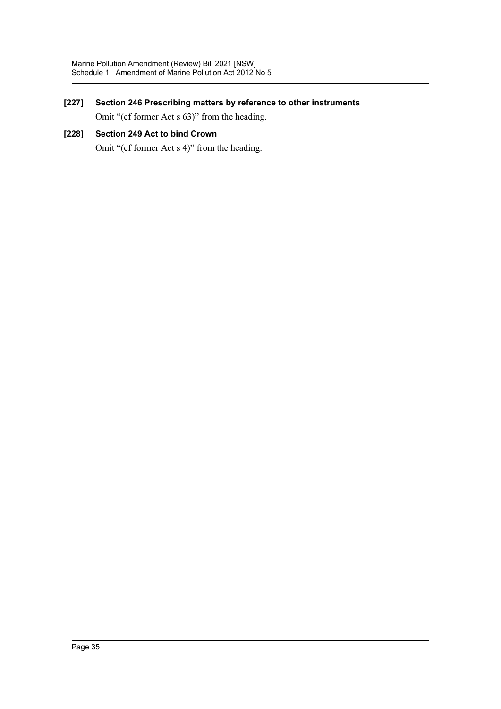# **[227] Section 246 Prescribing matters by reference to other instruments**

Omit "(cf former Act s 63)" from the heading.

### **[228] Section 249 Act to bind Crown**

Omit "(cf former Act s 4)" from the heading.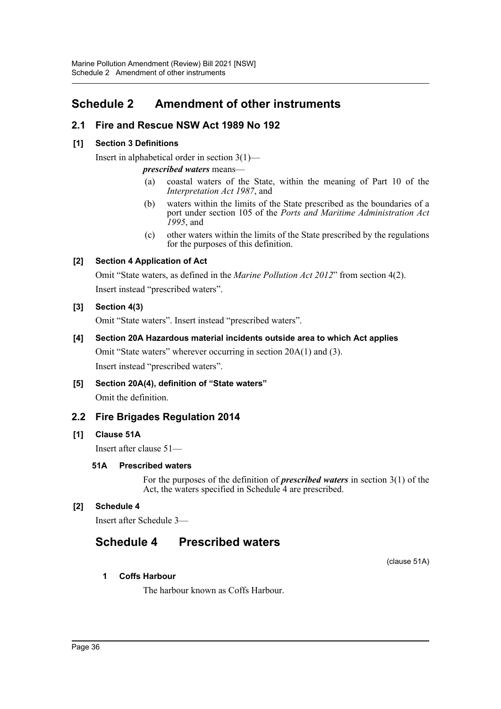# <span id="page-36-0"></span>**Schedule 2 Amendment of other instruments**

# **2.1 Fire and Rescue NSW Act 1989 No 192**

### **[1] Section 3 Definitions**

Insert in alphabetical order in section 3(1)—

*prescribed waters* means—

- (a) coastal waters of the State, within the meaning of Part 10 of the *Interpretation Act 1987*, and
- (b) waters within the limits of the State prescribed as the boundaries of a port under section 105 of the *Ports and Maritime Administration Act 1995*, and
- (c) other waters within the limits of the State prescribed by the regulations for the purposes of this definition.

### **[2] Section 4 Application of Act**

Omit "State waters, as defined in the *Marine Pollution Act 2012*" from section 4(2). Insert instead "prescribed waters".

### **[3] Section 4(3)**

Omit "State waters". Insert instead "prescribed waters".

### **[4] Section 20A Hazardous material incidents outside area to which Act applies**

Omit "State waters" wherever occurring in section 20A(1) and (3). Insert instead "prescribed waters".

**[5] Section 20A(4), definition of "State waters"**

Omit the definition.

# **2.2 Fire Brigades Regulation 2014**

### **[1] Clause 51A**

Insert after clause 51—

### **51A Prescribed waters**

For the purposes of the definition of *prescribed waters* in section 3(1) of the Act, the waters specified in Schedule 4 are prescribed.

### **[2] Schedule 4**

Insert after Schedule 3—

# **Schedule 4 Prescribed waters**

(clause 51A)

### **1 Coffs Harbour**

The harbour known as Coffs Harbour.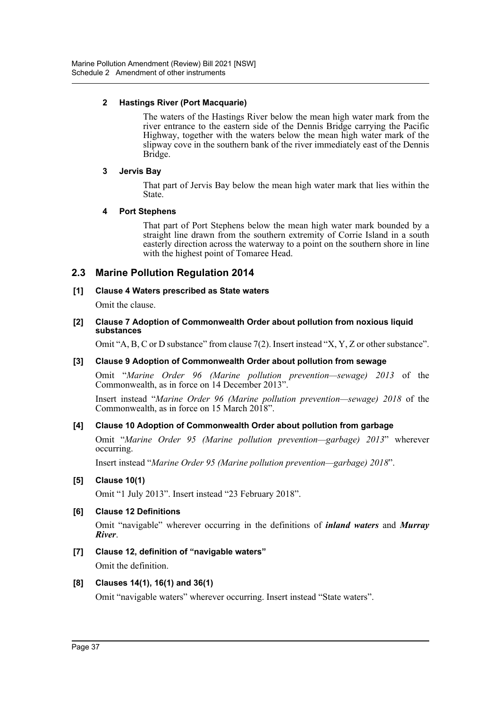### **2 Hastings River (Port Macquarie)**

The waters of the Hastings River below the mean high water mark from the river entrance to the eastern side of the Dennis Bridge carrying the Pacific Highway, together with the waters below the mean high water mark of the slipway cove in the southern bank of the river immediately east of the Dennis Bridge.

### **3 Jervis Bay**

That part of Jervis Bay below the mean high water mark that lies within the State.

### **4 Port Stephens**

That part of Port Stephens below the mean high water mark bounded by a straight line drawn from the southern extremity of Corrie Island in a south easterly direction across the waterway to a point on the southern shore in line with the highest point of Tomaree Head.

# **2.3 Marine Pollution Regulation 2014**

### **[1] Clause 4 Waters prescribed as State waters**

Omit the clause.

#### **[2] Clause 7 Adoption of Commonwealth Order about pollution from noxious liquid substances**

Omit "A, B, C or D substance" from clause 7(2). Insert instead "X, Y, Z or other substance".

### **[3] Clause 9 Adoption of Commonwealth Order about pollution from sewage**

Omit "*Marine Order 96 (Marine pollution prevention—sewage) 2013* of the Commonwealth, as in force on 14 December 2013".

Insert instead "*Marine Order 96 (Marine pollution prevention—sewage) 2018* of the Commonwealth, as in force on 15 March 2018".

### **[4] Clause 10 Adoption of Commonwealth Order about pollution from garbage**

Omit "*Marine Order 95 (Marine pollution prevention—garbage) 2013*" wherever occurring.

Insert instead "*Marine Order 95 (Marine pollution prevention—garbage) 2018*".

### **[5] Clause 10(1)**

Omit "1 July 2013". Insert instead "23 February 2018".

### **[6] Clause 12 Definitions**

Omit "navigable" wherever occurring in the definitions of *inland waters* and *Murray River*.

**[7] Clause 12, definition of "navigable waters"**

Omit the definition.

### **[8] Clauses 14(1), 16(1) and 36(1)**

Omit "navigable waters" wherever occurring. Insert instead "State waters".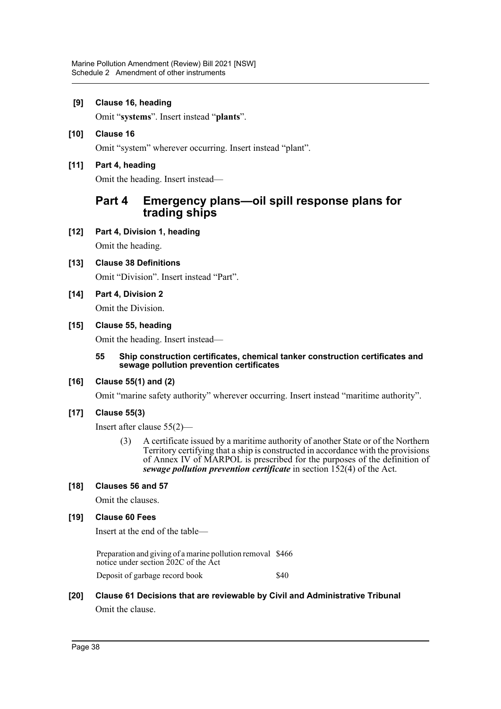### **[9] Clause 16, heading**

Omit "**systems**". Insert instead "**plants**".

**[10] Clause 16** Omit "system" wherever occurring. Insert instead "plant".

### **[11] Part 4, heading**

Omit the heading. Insert instead—

# **Part 4 Emergency plans—oil spill response plans for trading ships**

**[12] Part 4, Division 1, heading**

Omit the heading.

**[13] Clause 38 Definitions**

Omit "Division". Insert instead "Part".

**[14] Part 4, Division 2**

Omit the Division.

### **[15] Clause 55, heading**

Omit the heading. Insert instead—

#### **55 Ship construction certificates, chemical tanker construction certificates and sewage pollution prevention certificates**

### **[16] Clause 55(1) and (2)**

Omit "marine safety authority" wherever occurring. Insert instead "maritime authority".

### **[17] Clause 55(3)**

Insert after clause 55(2)—

(3) A certificate issued by a maritime authority of another State or of the Northern Territory certifying that a ship is constructed in accordance with the provisions of Annex IV of MARPOL is prescribed for the purposes of the definition of *sewage pollution prevention certificate* in section 152(4) of the Act.

### **[18] Clauses 56 and 57**

Omit the clauses.

### **[19] Clause 60 Fees**

Insert at the end of the table—

Preparation and giving of a marine pollution removal \$466 notice under section 202C of the Act Deposit of garbage record book \$40

# **[20] Clause 61 Decisions that are reviewable by Civil and Administrative Tribunal** Omit the clause.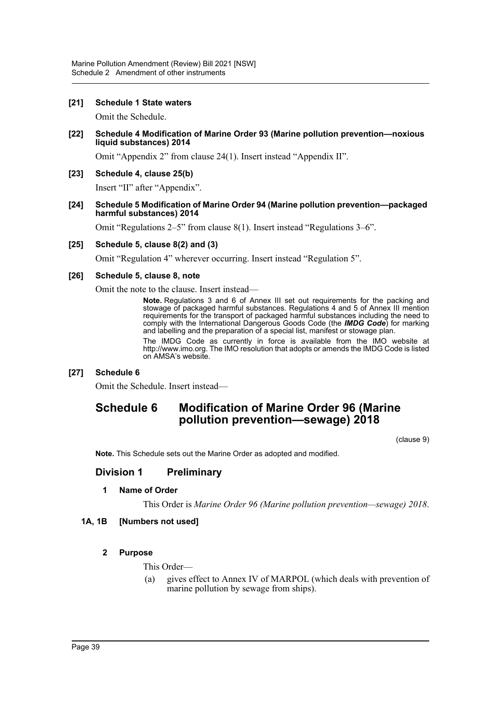### **[21] Schedule 1 State waters**

Omit the Schedule.

**[22] Schedule 4 Modification of Marine Order 93 (Marine pollution prevention—noxious liquid substances) 2014**

Omit "Appendix 2" from clause 24(1). Insert instead "Appendix II".

### **[23] Schedule 4, clause 25(b)**

Insert "II" after "Appendix".

#### **[24] Schedule 5 Modification of Marine Order 94 (Marine pollution prevention—packaged harmful substances) 2014**

Omit "Regulations 2–5" from clause 8(1). Insert instead "Regulations 3–6".

### **[25] Schedule 5, clause 8(2) and (3)**

Omit "Regulation 4" wherever occurring. Insert instead "Regulation 5".

### **[26] Schedule 5, clause 8, note**

Omit the note to the clause. Insert instead—

**Note.** Regulations 3 and 6 of Annex III set out requirements for the packing and stowage of packaged harmful substances. Regulations 4 and 5 of Annex III mention requirements for the transport of packaged harmful substances including the need to comply with the International Dangerous Goods Code (the *IMDG Code*) for marking and labelling and the preparation of a special list, manifest or stowage plan.

The IMDG Code as currently in force is available from the IMO website at http://www.imo.org. The IMO resolution that adopts or amends the IMDG Code is listed on AMSA's website.

### **[27] Schedule 6**

Omit the Schedule. Insert instead—

# **Schedule 6 Modification of Marine Order 96 (Marine pollution prevention—sewage) 2018**

(clause 9)

**Note.** This Schedule sets out the Marine Order as adopted and modified.

### **Division 1 Preliminary**

### **1 Name of Order**

This Order is *Marine Order 96 (Marine pollution prevention—sewage) 2018*.

### **1A, 1B [Numbers not used]**

### **2 Purpose**

This Order—

(a) gives effect to Annex IV of MARPOL (which deals with prevention of marine pollution by sewage from ships).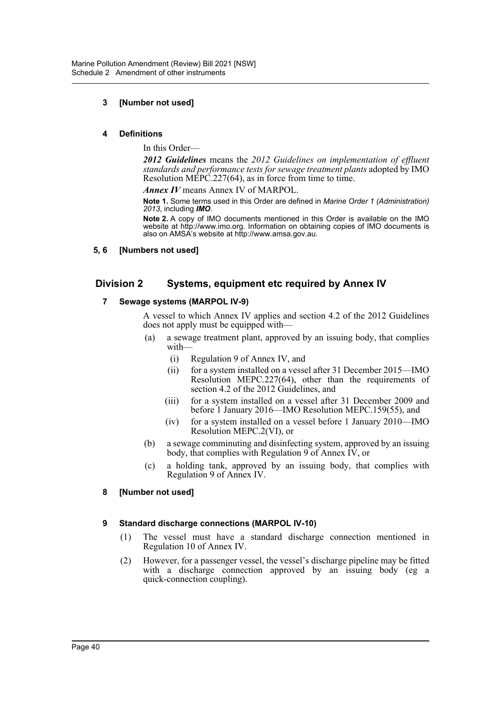### **3 [Number not used]**

#### **4 Definitions**

In this Order—

*2012 Guidelines* means the *2012 Guidelines on implementation of effluent standards and performance tests for sewage treatment plants* adopted by IMO Resolution MEPC.227(64), as in force from time to time.

*Annex IV* means Annex IV of MARPOL.

**Note 1.** Some terms used in this Order are defined in *Marine Order 1 (Administration) 2013*, including *IMO*.

**Note 2.** A copy of IMO documents mentioned in this Order is available on the IMO website at http://www.imo.org. Information on obtaining copies of IMO documents is also on AMSA's website at http://www.amsa.gov.au.

### **5, 6 [Numbers not used]**

# **Division 2 Systems, equipment etc required by Annex IV**

#### **7 Sewage systems (MARPOL IV-9)**

A vessel to which Annex IV applies and section 4.2 of the 2012 Guidelines does not apply must be equipped with—

- (a) a sewage treatment plant, approved by an issuing body, that complies with—
	- (i) Regulation 9 of Annex IV, and
	- (ii) for a system installed on a vessel after 31 December 2015—IMO Resolution MEPC.227(64), other than the requirements of section 4.2 of the 2012 Guidelines, and
	- (iii) for a system installed on a vessel after 31 December 2009 and before 1 January 2016—IMO Resolution MEPC.159(55), and
	- (iv) for a system installed on a vessel before 1 January 2010—IMO Resolution MEPC.2(VI), or
- (b) a sewage comminuting and disinfecting system, approved by an issuing body, that complies with Regulation 9 of Annex  $\overline{IV}$ , or
- (c) a holding tank, approved by an issuing body, that complies with Regulation 9 of Annex IV.

### **8 [Number not used]**

### **9 Standard discharge connections (MARPOL IV-10)**

- (1) The vessel must have a standard discharge connection mentioned in Regulation 10 of Annex IV.
- (2) However, for a passenger vessel, the vessel's discharge pipeline may be fitted with a discharge connection approved by an issuing body (eg a quick-connection coupling).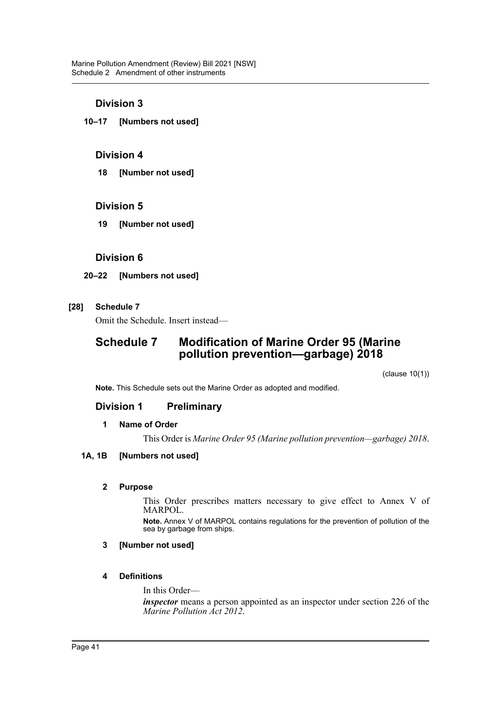### **Division 3**

**10–17 [Numbers not used]**

### **Division 4**

**18 [Number not used]**

### **Division 5**

**19 [Number not used]**

### **Division 6**

### **20–22 [Numbers not used]**

### **[28] Schedule 7**

Omit the Schedule. Insert instead—

# **Schedule 7 Modification of Marine Order 95 (Marine pollution prevention—garbage) 2018**

(clause 10(1))

**Note.** This Schedule sets out the Marine Order as adopted and modified.

# **Division 1 Preliminary**

### **1 Name of Order**

This Order is *Marine Order 95 (Marine pollution prevention—garbage) 2018*.

### **1A, 1B [Numbers not used]**

### **2 Purpose**

This Order prescribes matters necessary to give effect to Annex V of MARPOL.

**Note.** Annex V of MARPOL contains regulations for the prevention of pollution of the sea by garbage from ships.

### **3 [Number not used]**

### **4 Definitions**

In this Order—

*inspector* means a person appointed as an inspector under section 226 of the *Marine Pollution Act 2012*.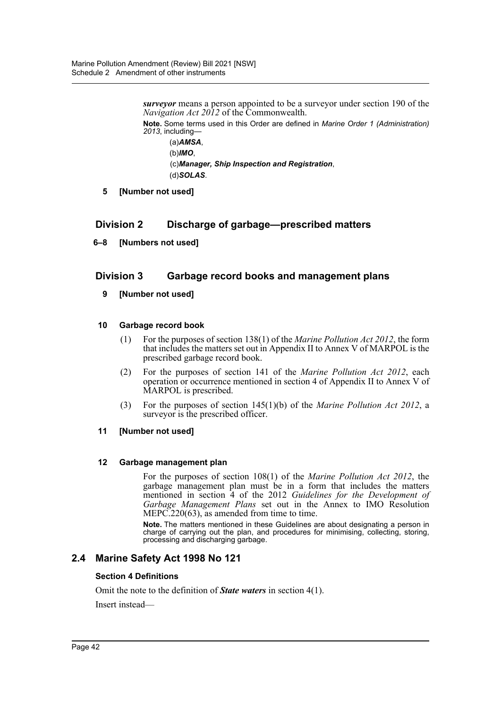*surveyor* means a person appointed to be a surveyor under section 190 of the *Navigation Act 2012* of the Commonwealth.

**Note.** Some terms used in this Order are defined in *Marine Order 1 (Administration) 2013*, including—

(a)*AMSA*, (b)*IMO*, (c)*Manager, Ship Inspection and Registration*, (d)*SOLAS*.

**5 [Number not used]**

# **Division 2 Discharge of garbage—prescribed matters**

**6–8 [Numbers not used]**

# **Division 3 Garbage record books and management plans**

**9 [Number not used]**

### **10 Garbage record book**

- (1) For the purposes of section 138(1) of the *Marine Pollution Act 2012*, the form that includes the matters set out in Appendix II to Annex V of MARPOL is the prescribed garbage record book.
- (2) For the purposes of section 141 of the *Marine Pollution Act 2012*, each operation or occurrence mentioned in section 4 of Appendix II to Annex V of MARPOL is prescribed.
- (3) For the purposes of section 145(1)(b) of the *Marine Pollution Act 2012*, a surveyor is the prescribed officer.

### **11 [Number not used]**

### **12 Garbage management plan**

For the purposes of section 108(1) of the *Marine Pollution Act 2012*, the garbage management plan must be in a form that includes the matters mentioned in section 4 of the 2012 *Guidelines for the Development of Garbage Management Plans* set out in the Annex to IMO Resolution MEPC.220(63), as amended from time to time.

**Note.** The matters mentioned in these Guidelines are about designating a person in charge of carrying out the plan, and procedures for minimising, collecting, storing, processing and discharging garbage.

# **2.4 Marine Safety Act 1998 No 121**

### **Section 4 Definitions**

Omit the note to the definition of *State waters* in section 4(1).

Insert instead—